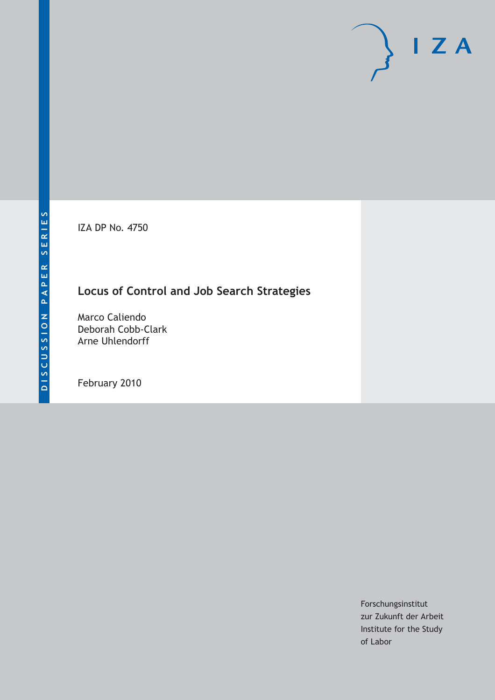IZA DP No. 4750

# **Locus of Control and Job Search Strategies**

Marco Caliendo Deborah Cobb-Clark Arne Uhlendorff

February 2010

Forschungsinstitut zur Zukunft der Arbeit Institute for the Study of Labor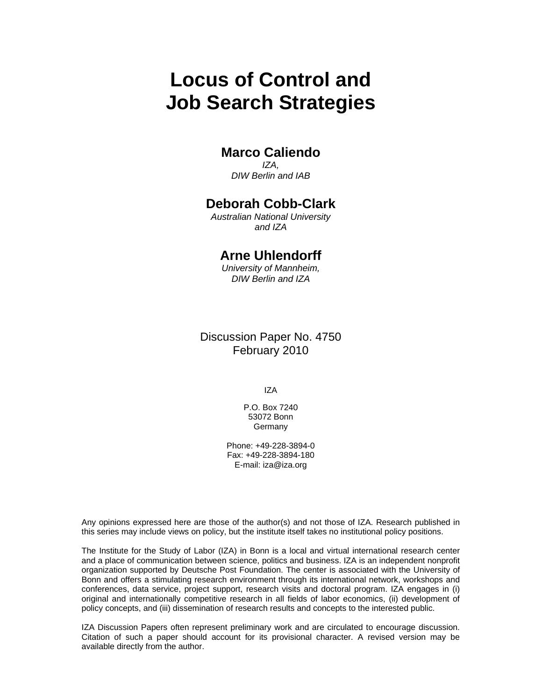# **Locus of Control and Job Search Strategies**

# **Marco Caliendo**

*IZA, DIW Berlin and IAB* 

## **Deborah Cobb-Clark**

*Australian National University and IZA* 

# **Arne Uhlendorff**

*University of Mannheim, DIW Berlin and IZA* 

Discussion Paper No. 4750 February 2010

IZA

P.O. Box 7240 53072 Bonn **Germany** 

Phone: +49-228-3894-0 Fax: +49-228-3894-180 E-mail: iza@iza.org

Any opinions expressed here are those of the author(s) and not those of IZA. Research published in this series may include views on policy, but the institute itself takes no institutional policy positions.

The Institute for the Study of Labor (IZA) in Bonn is a local and virtual international research center and a place of communication between science, politics and business. IZA is an independent nonprofit organization supported by Deutsche Post Foundation. The center is associated with the University of Bonn and offers a stimulating research environment through its international network, workshops and conferences, data service, project support, research visits and doctoral program. IZA engages in (i) original and internationally competitive research in all fields of labor economics, (ii) development of policy concepts, and (iii) dissemination of research results and concepts to the interested public.

IZA Discussion Papers often represent preliminary work and are circulated to encourage discussion. Citation of such a paper should account for its provisional character. A revised version may be available directly from the author.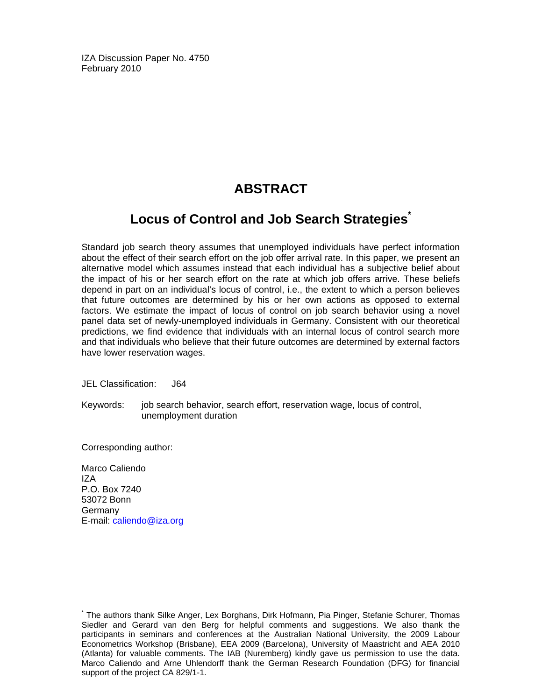IZA Discussion Paper No. 4750 February 2010

# **ABSTRACT**

# **Locus of Control and Job Search Strategies\***

Standard job search theory assumes that unemployed individuals have perfect information about the effect of their search effort on the job offer arrival rate. In this paper, we present an alternative model which assumes instead that each individual has a subjective belief about the impact of his or her search effort on the rate at which job offers arrive. These beliefs depend in part on an individual's locus of control, i.e., the extent to which a person believes that future outcomes are determined by his or her own actions as opposed to external factors. We estimate the impact of locus of control on job search behavior using a novel panel data set of newly-unemployed individuals in Germany. Consistent with our theoretical predictions, we find evidence that individuals with an internal locus of control search more and that individuals who believe that their future outcomes are determined by external factors have lower reservation wages.

JEL Classification: J64

Keywords: job search behavior, search effort, reservation wage, locus of control, unemployment duration

Corresponding author:

Marco Caliendo IZA P.O. Box 7240 53072 Bonn **Germany** E-mail: caliendo@iza.org

-

<sup>\*</sup> The authors thank Silke Anger, Lex Borghans, Dirk Hofmann, Pia Pinger, Stefanie Schurer, Thomas Siedler and Gerard van den Berg for helpful comments and suggestions. We also thank the participants in seminars and conferences at the Australian National University, the 2009 Labour Econometrics Workshop (Brisbane), EEA 2009 (Barcelona), University of Maastricht and AEA 2010 (Atlanta) for valuable comments. The IAB (Nuremberg) kindly gave us permission to use the data. Marco Caliendo and Arne Uhlendorff thank the German Research Foundation (DFG) for financial support of the project CA 829/1-1.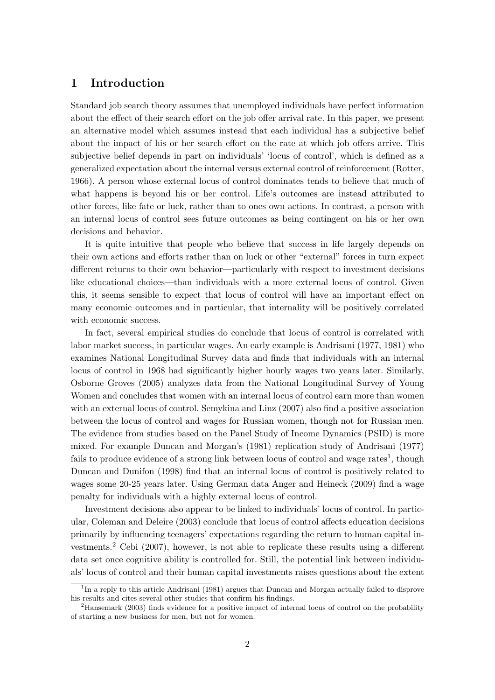### 1 Introduction

Standard job search theory assumes that unemployed individuals have perfect information about the effect of their search effort on the job offer arrival rate. In this paper, we present an alternative model which assumes instead that each individual has a subjective belief about the impact of his or her search effort on the rate at which job offers arrive. This subjective belief depends in part on individuals' 'locus of control', which is defined as a generalized expectation about the internal versus external control of reinforcement (Rotter, 1966). A person whose external locus of control dominates tends to believe that much of what happens is beyond his or her control. Life's outcomes are instead attributed to other forces, like fate or luck, rather than to ones own actions. In contrast, a person with an internal locus of control sees future outcomes as being contingent on his or her own decisions and behavior.

It is quite intuitive that people who believe that success in life largely depends on their own actions and efforts rather than on luck or other "external" forces in turn expect different returns to their own behavior—particularly with respect to investment decisions like educational choices—than individuals with a more external locus of control. Given this, it seems sensible to expect that locus of control will have an important effect on many economic outcomes and in particular, that internality will be positively correlated with economic success.

In fact, several empirical studies do conclude that locus of control is correlated with labor market success, in particular wages. An early example is Andrisani (1977, 1981) who examines National Longitudinal Survey data and finds that individuals with an internal locus of control in 1968 had significantly higher hourly wages two years later. Similarly, Osborne Groves (2005) analyzes data from the National Longitudinal Survey of Young Women and concludes that women with an internal locus of control earn more than women with an external locus of control. Semykina and Linz (2007) also find a positive association between the locus of control and wages for Russian women, though not for Russian men. The evidence from studies based on the Panel Study of Income Dynamics (PSID) is more mixed. For example Duncan and Morgan's (1981) replication study of Andrisani (1977) fails to produce evidence of a strong link between locus of control and wage rates<sup>1</sup>, though Duncan and Dunifon (1998) find that an internal locus of control is positively related to wages some 20-25 years later. Using German data Anger and Heineck (2009) find a wage penalty for individuals with a highly external locus of control.

Investment decisions also appear to be linked to individuals' locus of control. In particular, Coleman and Deleire (2003) conclude that locus of control affects education decisions primarily by influencing teenagers' expectations regarding the return to human capital investments.<sup>2</sup> Cebi (2007), however, is not able to replicate these results using a different data set once cognitive ability is controlled for. Still, the potential link between individuals' locus of control and their human capital investments raises questions about the extent

<sup>&</sup>lt;sup>1</sup>In a reply to this article Andrisani (1981) argues that Duncan and Morgan actually failed to disprove his results and cites several other studies that confirm his findings.

<sup>2</sup>Hansemark (2003) finds evidence for a positive impact of internal locus of control on the probability of starting a new business for men, but not for women.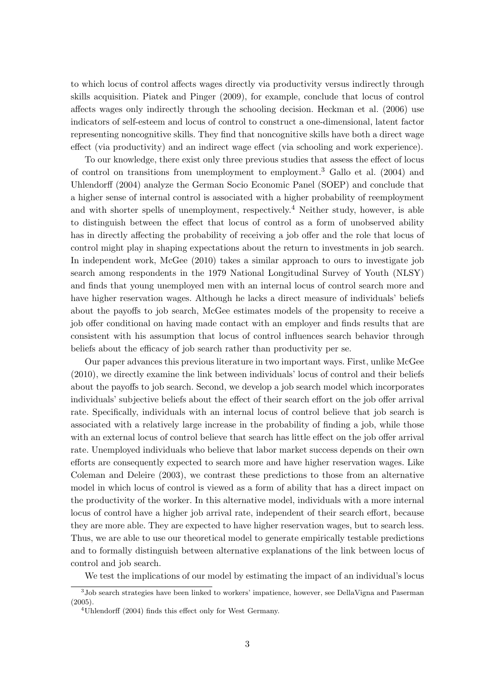to which locus of control affects wages directly via productivity versus indirectly through skills acquisition. Piatek and Pinger (2009), for example, conclude that locus of control affects wages only indirectly through the schooling decision. Heckman et al. (2006) use indicators of self-esteem and locus of control to construct a one-dimensional, latent factor representing noncognitive skills. They find that noncognitive skills have both a direct wage effect (via productivity) and an indirect wage effect (via schooling and work experience).

To our knowledge, there exist only three previous studies that assess the effect of locus of control on transitions from unemployment to employment.<sup>3</sup> Gallo et al. (2004) and Uhlendorff (2004) analyze the German Socio Economic Panel (SOEP) and conclude that a higher sense of internal control is associated with a higher probability of reemployment and with shorter spells of unemployment, respectively.<sup>4</sup> Neither study, however, is able to distinguish between the effect that locus of control as a form of unobserved ability has in directly affecting the probability of receiving a job offer and the role that locus of control might play in shaping expectations about the return to investments in job search. In independent work, McGee (2010) takes a similar approach to ours to investigate job search among respondents in the 1979 National Longitudinal Survey of Youth (NLSY) and finds that young unemployed men with an internal locus of control search more and have higher reservation wages. Although he lacks a direct measure of individuals' beliefs about the payoffs to job search, McGee estimates models of the propensity to receive a job offer conditional on having made contact with an employer and finds results that are consistent with his assumption that locus of control influences search behavior through beliefs about the efficacy of job search rather than productivity per se.

Our paper advances this previous literature in two important ways. First, unlike McGee (2010), we directly examine the link between individuals' locus of control and their beliefs about the payoffs to job search. Second, we develop a job search model which incorporates individuals' subjective beliefs about the effect of their search effort on the job offer arrival rate. Specifically, individuals with an internal locus of control believe that job search is associated with a relatively large increase in the probability of finding a job, while those with an external locus of control believe that search has little effect on the job offer arrival rate. Unemployed individuals who believe that labor market success depends on their own efforts are consequently expected to search more and have higher reservation wages. Like Coleman and Deleire (2003), we contrast these predictions to those from an alternative model in which locus of control is viewed as a form of ability that has a direct impact on the productivity of the worker. In this alternative model, individuals with a more internal locus of control have a higher job arrival rate, independent of their search effort, because they are more able. They are expected to have higher reservation wages, but to search less. Thus, we are able to use our theoretical model to generate empirically testable predictions and to formally distinguish between alternative explanations of the link between locus of control and job search.

We test the implications of our model by estimating the impact of an individual's locus

<sup>3</sup> Job search strategies have been linked to workers' impatience, however, see DellaVigna and Paserman (2005).

<sup>4</sup>Uhlendorff (2004) finds this effect only for West Germany.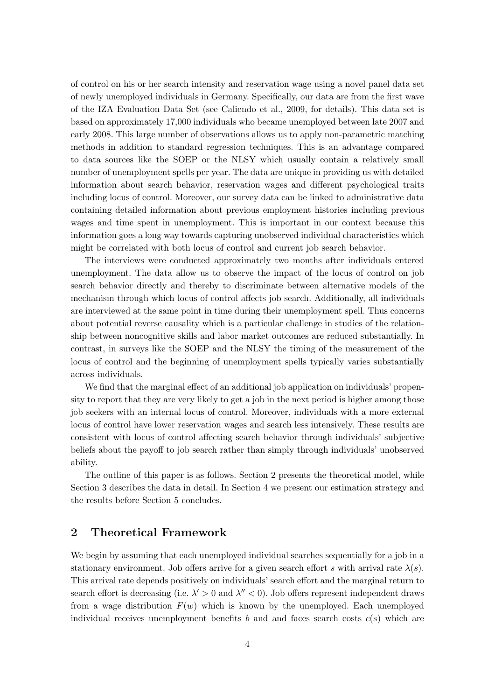of control on his or her search intensity and reservation wage using a novel panel data set of newly unemployed individuals in Germany. Specifically, our data are from the first wave of the IZA Evaluation Data Set (see Caliendo et al., 2009, for details). This data set is based on approximately 17,000 individuals who became unemployed between late 2007 and early 2008. This large number of observations allows us to apply non-parametric matching methods in addition to standard regression techniques. This is an advantage compared to data sources like the SOEP or the NLSY which usually contain a relatively small number of unemployment spells per year. The data are unique in providing us with detailed information about search behavior, reservation wages and different psychological traits including locus of control. Moreover, our survey data can be linked to administrative data containing detailed information about previous employment histories including previous wages and time spent in unemployment. This is important in our context because this information goes a long way towards capturing unobserved individual characteristics which might be correlated with both locus of control and current job search behavior.

The interviews were conducted approximately two months after individuals entered unemployment. The data allow us to observe the impact of the locus of control on job search behavior directly and thereby to discriminate between alternative models of the mechanism through which locus of control affects job search. Additionally, all individuals are interviewed at the same point in time during their unemployment spell. Thus concerns about potential reverse causality which is a particular challenge in studies of the relationship between noncognitive skills and labor market outcomes are reduced substantially. In contrast, in surveys like the SOEP and the NLSY the timing of the measurement of the locus of control and the beginning of unemployment spells typically varies substantially across individuals.

We find that the marginal effect of an additional job application on individuals' propensity to report that they are very likely to get a job in the next period is higher among those job seekers with an internal locus of control. Moreover, individuals with a more external locus of control have lower reservation wages and search less intensively. These results are consistent with locus of control affecting search behavior through individuals' subjective beliefs about the payoff to job search rather than simply through individuals' unobserved ability.

The outline of this paper is as follows. Section 2 presents the theoretical model, while Section 3 describes the data in detail. In Section 4 we present our estimation strategy and the results before Section 5 concludes.

### 2 Theoretical Framework

We begin by assuming that each unemployed individual searches sequentially for a job in a stationary environment. Job offers arrive for a given search effort s with arrival rate  $\lambda(s)$ . This arrival rate depends positively on individuals' search effort and the marginal return to search effort is decreasing (i.e.  $\lambda' > 0$  and  $\lambda'' < 0$ ). Job offers represent independent draws from a wage distribution  $F(w)$  which is known by the unemployed. Each unemployed individual receives unemployment benefits b and and faces search costs  $c(s)$  which are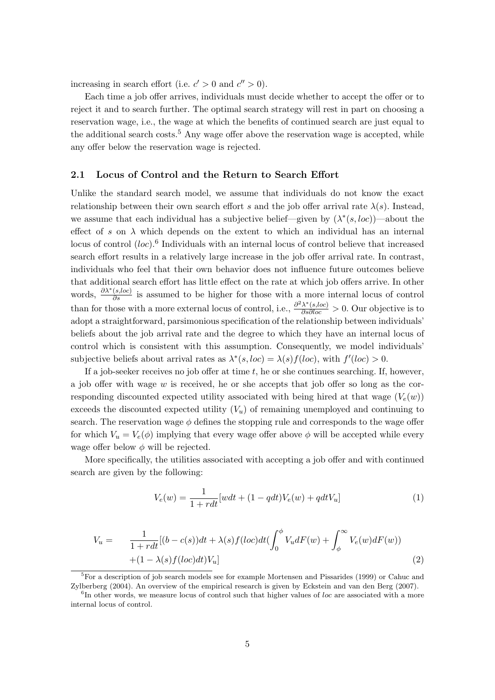increasing in search effort (i.e.  $c' > 0$  and  $c'' > 0$ ).

Each time a job offer arrives, individuals must decide whether to accept the offer or to reject it and to search further. The optimal search strategy will rest in part on choosing a reservation wage, i.e., the wage at which the benefits of continued search are just equal to the additional search costs.<sup>5</sup> Any wage offer above the reservation wage is accepted, while any offer below the reservation wage is rejected.

#### 2.1 Locus of Control and the Return to Search Effort

Unlike the standard search model, we assume that individuals do not know the exact relationship between their own search effort s and the job offer arrival rate  $\lambda(s)$ . Instead, we assume that each individual has a subjective belief—given by  $(\lambda^*(s, loc))$ —about the effect of s on  $\lambda$  which depends on the extent to which an individual has an internal locus of control (loc).<sup>6</sup> Individuals with an internal locus of control believe that increased search effort results in a relatively large increase in the job offer arrival rate. In contrast, individuals who feel that their own behavior does not influence future outcomes believe that additional search effort has little effect on the rate at which job offers arrive. In other words,  $\frac{\partial \lambda^*(s, loc)}{\partial s}$  is assumed to be higher for those with a more internal locus of control than for those with a more external locus of control, i.e.,  $\frac{\partial^2 \lambda^*(s, loc)}{\partial s \partial loc} > 0$ . Our objective is to adopt a straightforward, parsimonious specification of the relationship between individuals' beliefs about the job arrival rate and the degree to which they have an internal locus of control which is consistent with this assumption. Consequently, we model individuals' subjective beliefs about arrival rates as  $\lambda^*(s, loc) = \lambda(s) f(loc)$ , with  $f'(loc) > 0$ .

If a job-seeker receives no job offer at time  $t$ , he or she continues searching. If, however, a job offer with wage  $w$  is received, he or she accepts that job offer so long as the corresponding discounted expected utility associated with being hired at that wage  $(V_e(w))$ exceeds the discounted expected utility  $(V_u)$  of remaining unemployed and continuing to search. The reservation wage  $\phi$  defines the stopping rule and corresponds to the wage offer for which  $V_u = V_e(\phi)$  implying that every wage offer above  $\phi$  will be accepted while every wage offer below  $\phi$  will be rejected.

More specifically, the utilities associated with accepting a job offer and with continued search are given by the following:

$$
V_e(w) = \frac{1}{1 + rdt} [wdt + (1 - qdt)V_e(w) + qdtV_u]
$$
\n(1)

$$
V_u = \frac{1}{1 + rdt} [(b - c(s))dt + \lambda(s)f(loc)dt(\int_0^{\phi} V_u dF(w) + \int_{\phi}^{\infty} V_e(w) dF(w))
$$
  
+(1 - \lambda(s)f(loc)dt)V<sub>u</sub>] (2)

 ${}^{5}$ For a description of job search models see for example Mortensen and Pissarides (1999) or Cahuc and Zylberberg (2004). An overview of the empirical research is given by Eckstein and van den Berg (2007).

<sup>&</sup>lt;sup>6</sup>In other words, we measure locus of control such that higher values of loc are associated with a more internal locus of control.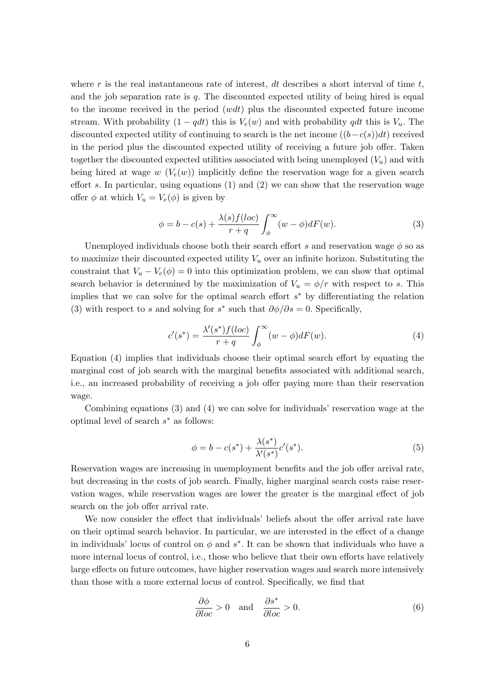where r is the real instantaneous rate of interest, dt describes a short interval of time t, and the job separation rate is  $q$ . The discounted expected utility of being hired is equal to the income received in the period  $(wdt)$  plus the discounted expected future income stream. With probability  $(1 - qdt)$  this is  $V_e(w)$  and with probability qdt this is  $V_u$ . The discounted expected utility of continuing to search is the net income  $((b-c(s))dt)$  received in the period plus the discounted expected utility of receiving a future job offer. Taken together the discounted expected utilities associated with being unemployed  $(V_u)$  and with being hired at wage  $w\left(V_e(w)\right)$  implicitly define the reservation wage for a given search effort s. In particular, using equations  $(1)$  and  $(2)$  we can show that the reservation wage offer  $\phi$  at which  $V_u = V_e(\phi)$  is given by

$$
\phi = b - c(s) + \frac{\lambda(s)f(loc)}{r+q} \int_{\phi}^{\infty} (w - \phi)dF(w).
$$
 (3)

Unemployed individuals choose both their search effort s and reservation wage  $\phi$  so as to maximize their discounted expected utility  $V_u$  over an infinite horizon. Substituting the constraint that  $V_u - V_e(\phi) = 0$  into this optimization problem, we can show that optimal search behavior is determined by the maximization of  $V_u = \phi/r$  with respect to s. This implies that we can solve for the optimal search effort  $s^*$  by differentiating the relation (3) with respect to s and solving for s<sup>\*</sup> such that  $\partial \phi / \partial s = 0$ . Specifically,

$$
c'(s^*) = \frac{\lambda'(s^*)f(loc)}{r+q} \int_{\phi}^{\infty} (w-\phi)dF(w).
$$
 (4)

Equation (4) implies that individuals choose their optimal search effort by equating the marginal cost of job search with the marginal benefits associated with additional search, i.e., an increased probability of receiving a job offer paying more than their reservation wage.

Combining equations (3) and (4) we can solve for individuals' reservation wage at the optimal level of search  $s^*$  as follows:

$$
\phi = b - c(s^*) + \frac{\lambda(s^*)}{\lambda'(s^*)}c'(s^*).
$$
\n(5)

Reservation wages are increasing in unemployment benefits and the job offer arrival rate, but decreasing in the costs of job search. Finally, higher marginal search costs raise reservation wages, while reservation wages are lower the greater is the marginal effect of job search on the job offer arrival rate.

We now consider the effect that individuals' beliefs about the offer arrival rate have on their optimal search behavior. In particular, we are interested in the effect of a change in individuals' locus of control on  $\phi$  and  $s^*$ . It can be shown that individuals who have a more internal locus of control, i.e., those who believe that their own efforts have relatively large effects on future outcomes, have higher reservation wages and search more intensively than those with a more external locus of control. Specifically, we find that

$$
\frac{\partial \phi}{\partial loc} > 0 \quad \text{and} \quad \frac{\partial s^*}{\partial loc} > 0. \tag{6}
$$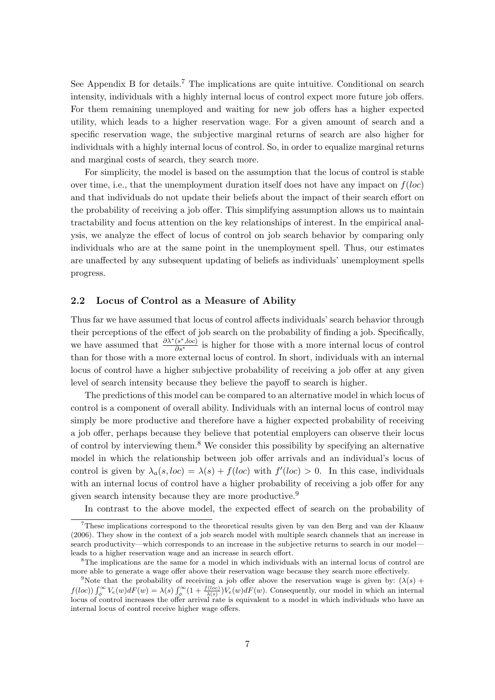See Appendix B for details.<sup>7</sup> The implications are quite intuitive. Conditional on search intensity, individuals with a highly internal locus of control expect more future job offers. For them remaining unemployed and waiting for new job offers has a higher expected utility, which leads to a higher reservation wage. For a given amount of search and a specific reservation wage, the subjective marginal returns of search are also higher for individuals with a highly internal locus of control. So, in order to equalize marginal returns and marginal costs of search, they search more.

For simplicity, the model is based on the assumption that the locus of control is stable over time, i.e., that the unemployment duration itself does not have any impact on  $f(loc)$ and that individuals do not update their beliefs about the impact of their search effort on the probability of receiving a job offer. This simplifying assumption allows us to maintain tractability and focus attention on the key relationships of interest. In the empirical analysis, we analyze the effect of locus of control on job search behavior by comparing only individuals who are at the same point in the unemployment spell. Thus, our estimates are unaffected by any subsequent updating of beliefs as individuals' unemployment spells progress.

#### 2.2 Locus of Control as a Measure of Ability

Thus far we have assumed that locus of control affects individuals' search behavior through their perceptions of the effect of job search on the probability of finding a job. Specifically, we have assumed that  $\frac{\partial \lambda^*(s^*,loc)}{\partial s^*}$  is higher for those with a more internal locus of control than for those with a more external locus of control. In short, individuals with an internal locus of control have a higher subjective probability of receiving a job offer at any given level of search intensity because they believe the payoff to search is higher.

The predictions of this model can be compared to an alternative model in which locus of control is a component of overall ability. Individuals with an internal locus of control may simply be more productive and therefore have a higher expected probability of receiving a job offer, perhaps because they believe that potential employers can observe their locus of control by interviewing them.<sup>8</sup> We consider this possibility by specifying an alternative model in which the relationship between job offer arrivals and an individual's locus of control is given by  $\lambda_a(s, loc) = \lambda(s) + f(loc)$  with  $f'(loc) > 0$ . In this case, individuals with an internal locus of control have a higher probability of receiving a job offer for any given search intensity because they are more productive.<sup>9</sup>

In contrast to the above model, the expected effect of search on the probability of

<sup>&</sup>lt;sup>7</sup>These implications correspond to the theoretical results given by van den Berg and van der Klaauw (2006). They show in the context of a job search model with multiple search channels that an increase in search productivity—which corresponds to an increase in the subjective returns to search in our model leads to a higher reservation wage and an increase in search effort.

<sup>&</sup>lt;sup>8</sup>The implications are the same for a model in which individuals with an internal locus of control are more able to generate a wage offer above their reservation wage because they search more effectively.

<sup>&</sup>lt;sup>9</sup>Note that the probability of receiving a job offer above the reservation wage is given by:  $(\lambda(s) +$  $f(loc))\int_{\phi}^{\infty}V_e(w)dF(w)=\lambda(s)\int_{\phi}^{\infty}(1+\frac{f(loc)}{\lambda(s)})V_e(w)dF(w)$ . Consequently, our model in which an internal locus of control increases the offer arrival rate is equivalent to a model in which individuals who have an internal locus of control receive higher wage offers.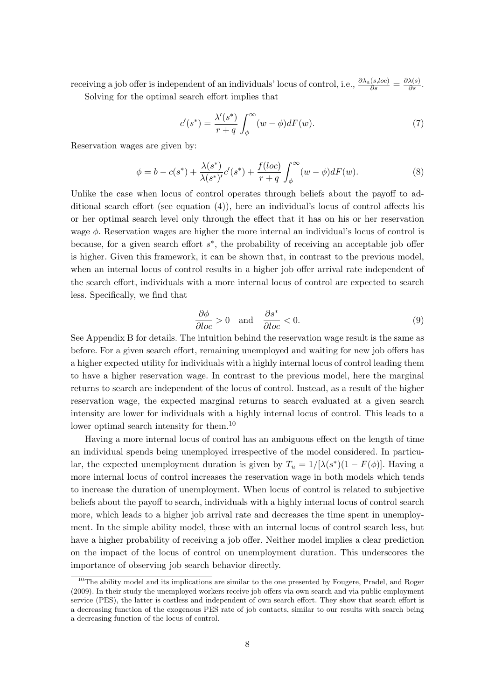receiving a job offer is independent of an individuals' locus of control, i.e.,  $\frac{\partial \lambda_a(s, loc)}{\partial s} = \frac{\partial \lambda(s)}{\partial s}$ . Solving for the optimal search effort implies that

> $c'(s^*) = \frac{\lambda'(s^*)}{\lambda}$  $r + q$  $\int^{\infty}$ φ  $(w - \phi)dF(w).$  (7)

Reservation wages are given by:

$$
\phi = b - c(s^*) + \frac{\lambda(s^*)}{\lambda(s^*)'}c'(s^*) + \frac{f(loc)}{r+q} \int_{\phi}^{\infty} (w - \phi)dF(w).
$$
 (8)

Unlike the case when locus of control operates through beliefs about the payoff to additional search effort (see equation (4)), here an individual's locus of control affects his or her optimal search level only through the effect that it has on his or her reservation wage  $\phi$ . Reservation wages are higher the more internal an individual's locus of control is because, for a given search effort  $s^*$ , the probability of receiving an acceptable job offer is higher. Given this framework, it can be shown that, in contrast to the previous model, when an internal locus of control results in a higher job offer arrival rate independent of the search effort, individuals with a more internal locus of control are expected to search less. Specifically, we find that

$$
\frac{\partial \phi}{\partial loc} > 0 \quad \text{and} \quad \frac{\partial s^*}{\partial loc} < 0. \tag{9}
$$

See Appendix B for details. The intuition behind the reservation wage result is the same as before. For a given search effort, remaining unemployed and waiting for new job offers has a higher expected utility for individuals with a highly internal locus of control leading them to have a higher reservation wage. In contrast to the previous model, here the marginal returns to search are independent of the locus of control. Instead, as a result of the higher reservation wage, the expected marginal returns to search evaluated at a given search intensity are lower for individuals with a highly internal locus of control. This leads to a lower optimal search intensity for them.<sup>10</sup>

Having a more internal locus of control has an ambiguous effect on the length of time an individual spends being unemployed irrespective of the model considered. In particular, the expected unemployment duration is given by  $T_u = 1/[\lambda(s^*)(1 - F(\phi)].$  Having a more internal locus of control increases the reservation wage in both models which tends to increase the duration of unemployment. When locus of control is related to subjective beliefs about the payoff to search, individuals with a highly internal locus of control search more, which leads to a higher job arrival rate and decreases the time spent in unemployment. In the simple ability model, those with an internal locus of control search less, but have a higher probability of receiving a job offer. Neither model implies a clear prediction on the impact of the locus of control on unemployment duration. This underscores the importance of observing job search behavior directly.

<sup>&</sup>lt;sup>10</sup>The ability model and its implications are similar to the one presented by Fougere, Pradel, and Roger (2009). In their study the unemployed workers receive job offers via own search and via public employment service (PES), the latter is costless and independent of own search effort. They show that search effort is a decreasing function of the exogenous PES rate of job contacts, similar to our results with search being a decreasing function of the locus of control.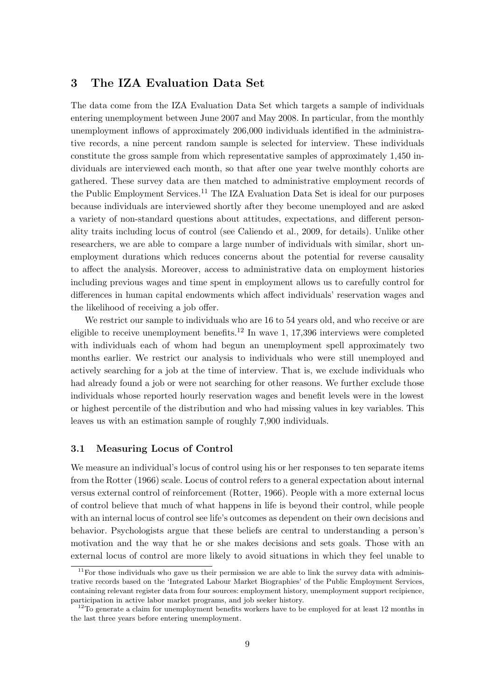### 3 The IZA Evaluation Data Set

The data come from the IZA Evaluation Data Set which targets a sample of individuals entering unemployment between June 2007 and May 2008. In particular, from the monthly unemployment inflows of approximately 206,000 individuals identified in the administrative records, a nine percent random sample is selected for interview. These individuals constitute the gross sample from which representative samples of approximately 1,450 individuals are interviewed each month, so that after one year twelve monthly cohorts are gathered. These survey data are then matched to administrative employment records of the Public Employment Services.<sup>11</sup> The IZA Evaluation Data Set is ideal for our purposes because individuals are interviewed shortly after they become unemployed and are asked a variety of non-standard questions about attitudes, expectations, and different personality traits including locus of control (see Caliendo et al., 2009, for details). Unlike other researchers, we are able to compare a large number of individuals with similar, short unemployment durations which reduces concerns about the potential for reverse causality to affect the analysis. Moreover, access to administrative data on employment histories including previous wages and time spent in employment allows us to carefully control for differences in human capital endowments which affect individuals' reservation wages and the likelihood of receiving a job offer.

We restrict our sample to individuals who are 16 to 54 years old, and who receive or are eligible to receive unemployment benefits.<sup>12</sup> In wave 1, 17,396 interviews were completed with individuals each of whom had begun an unemployment spell approximately two months earlier. We restrict our analysis to individuals who were still unemployed and actively searching for a job at the time of interview. That is, we exclude individuals who had already found a job or were not searching for other reasons. We further exclude those individuals whose reported hourly reservation wages and benefit levels were in the lowest or highest percentile of the distribution and who had missing values in key variables. This leaves us with an estimation sample of roughly 7,900 individuals.

#### 3.1 Measuring Locus of Control

We measure an individual's locus of control using his or her responses to ten separate items from the Rotter (1966) scale. Locus of control refers to a general expectation about internal versus external control of reinforcement (Rotter, 1966). People with a more external locus of control believe that much of what happens in life is beyond their control, while people with an internal locus of control see life's outcomes as dependent on their own decisions and behavior. Psychologists argue that these beliefs are central to understanding a person's motivation and the way that he or she makes decisions and sets goals. Those with an external locus of control are more likely to avoid situations in which they feel unable to

 $11$ For those individuals who gave us their permission we are able to link the survey data with administrative records based on the 'Integrated Labour Market Biographies' of the Public Employment Services, containing relevant register data from four sources: employment history, unemployment support recipience, participation in active labor market programs, and job seeker history.

 $12$ To generate a claim for unemployment benefits workers have to be employed for at least 12 months in the last three years before entering unemployment.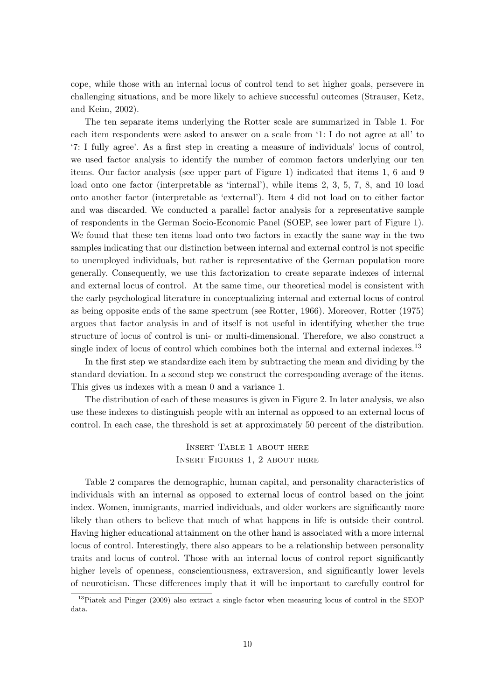cope, while those with an internal locus of control tend to set higher goals, persevere in challenging situations, and be more likely to achieve successful outcomes (Strauser, Ketz, and Keim, 2002).

The ten separate items underlying the Rotter scale are summarized in Table 1. For each item respondents were asked to answer on a scale from '1: I do not agree at all' to '7: I fully agree'. As a first step in creating a measure of individuals' locus of control, we used factor analysis to identify the number of common factors underlying our ten items. Our factor analysis (see upper part of Figure 1) indicated that items 1, 6 and 9 load onto one factor (interpretable as 'internal'), while items 2, 3, 5, 7, 8, and 10 load onto another factor (interpretable as 'external'). Item 4 did not load on to either factor and was discarded. We conducted a parallel factor analysis for a representative sample of respondents in the German Socio-Economic Panel (SOEP, see lower part of Figure 1). We found that these ten items load onto two factors in exactly the same way in the two samples indicating that our distinction between internal and external control is not specific to unemployed individuals, but rather is representative of the German population more generally. Consequently, we use this factorization to create separate indexes of internal and external locus of control. At the same time, our theoretical model is consistent with the early psychological literature in conceptualizing internal and external locus of control as being opposite ends of the same spectrum (see Rotter, 1966). Moreover, Rotter (1975) argues that factor analysis in and of itself is not useful in identifying whether the true structure of locus of control is uni- or multi-dimensional. Therefore, we also construct a single index of locus of control which combines both the internal and external indexes.<sup>13</sup>

In the first step we standardize each item by subtracting the mean and dividing by the standard deviation. In a second step we construct the corresponding average of the items. This gives us indexes with a mean 0 and a variance 1.

The distribution of each of these measures is given in Figure 2. In later analysis, we also use these indexes to distinguish people with an internal as opposed to an external locus of control. In each case, the threshold is set at approximately 50 percent of the distribution.

> Insert Table 1 about here Insert Figures 1, 2 about here

Table 2 compares the demographic, human capital, and personality characteristics of individuals with an internal as opposed to external locus of control based on the joint index. Women, immigrants, married individuals, and older workers are significantly more likely than others to believe that much of what happens in life is outside their control. Having higher educational attainment on the other hand is associated with a more internal locus of control. Interestingly, there also appears to be a relationship between personality traits and locus of control. Those with an internal locus of control report significantly higher levels of openness, conscientiousness, extraversion, and significantly lower levels of neuroticism. These differences imply that it will be important to carefully control for

<sup>&</sup>lt;sup>13</sup>Piatek and Pinger (2009) also extract a single factor when measuring locus of control in the SEOP data.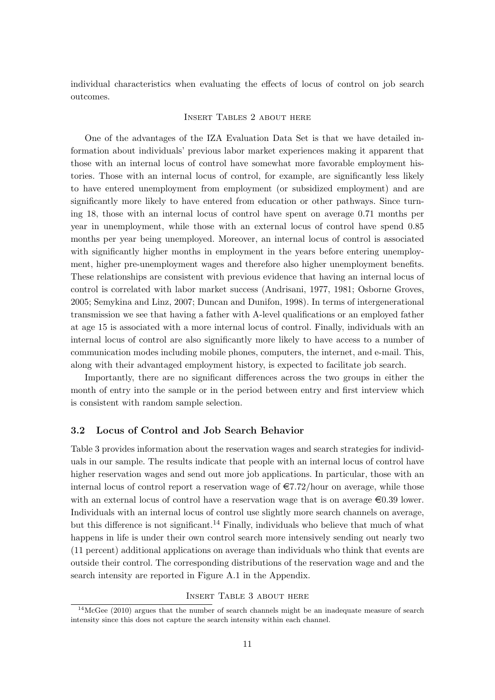individual characteristics when evaluating the effects of locus of control on job search outcomes.

#### Insert Tables 2 about here

One of the advantages of the IZA Evaluation Data Set is that we have detailed information about individuals' previous labor market experiences making it apparent that those with an internal locus of control have somewhat more favorable employment histories. Those with an internal locus of control, for example, are significantly less likely to have entered unemployment from employment (or subsidized employment) and are significantly more likely to have entered from education or other pathways. Since turning 18, those with an internal locus of control have spent on average 0.71 months per year in unemployment, while those with an external locus of control have spend 0.85 months per year being unemployed. Moreover, an internal locus of control is associated with significantly higher months in employment in the years before entering unemployment, higher pre-unemployment wages and therefore also higher unemployment benefits. These relationships are consistent with previous evidence that having an internal locus of control is correlated with labor market success (Andrisani, 1977, 1981; Osborne Groves, 2005; Semykina and Linz, 2007; Duncan and Dunifon, 1998). In terms of intergenerational transmission we see that having a father with A-level qualifications or an employed father at age 15 is associated with a more internal locus of control. Finally, individuals with an internal locus of control are also significantly more likely to have access to a number of communication modes including mobile phones, computers, the internet, and e-mail. This, along with their advantaged employment history, is expected to facilitate job search.

Importantly, there are no significant differences across the two groups in either the month of entry into the sample or in the period between entry and first interview which is consistent with random sample selection.

#### 3.2 Locus of Control and Job Search Behavior

Table 3 provides information about the reservation wages and search strategies for individuals in our sample. The results indicate that people with an internal locus of control have higher reservation wages and send out more job applications. In particular, those with an internal locus of control report a reservation wage of  $\epsilon$ 7.72/hour on average, while those with an external locus of control have a reservation wage that is on average  $\epsilon 0.39$  lower. Individuals with an internal locus of control use slightly more search channels on average, but this difference is not significant.<sup>14</sup> Finally, individuals who believe that much of what happens in life is under their own control search more intensively sending out nearly two (11 percent) additional applications on average than individuals who think that events are outside their control. The corresponding distributions of the reservation wage and and the search intensity are reported in Figure A.1 in the Appendix.

#### Insert Table 3 about here

<sup>&</sup>lt;sup>14</sup>McGee (2010) argues that the number of search channels might be an inadequate measure of search intensity since this does not capture the search intensity within each channel.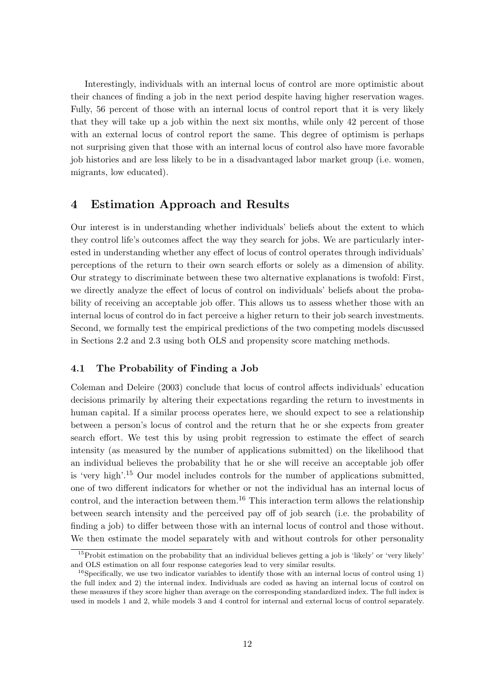Interestingly, individuals with an internal locus of control are more optimistic about their chances of finding a job in the next period despite having higher reservation wages. Fully, 56 percent of those with an internal locus of control report that it is very likely that they will take up a job within the next six months, while only 42 percent of those with an external locus of control report the same. This degree of optimism is perhaps not surprising given that those with an internal locus of control also have more favorable job histories and are less likely to be in a disadvantaged labor market group (i.e. women, migrants, low educated).

### 4 Estimation Approach and Results

Our interest is in understanding whether individuals' beliefs about the extent to which they control life's outcomes affect the way they search for jobs. We are particularly interested in understanding whether any effect of locus of control operates through individuals' perceptions of the return to their own search efforts or solely as a dimension of ability. Our strategy to discriminate between these two alternative explanations is twofold: First, we directly analyze the effect of locus of control on individuals' beliefs about the probability of receiving an acceptable job offer. This allows us to assess whether those with an internal locus of control do in fact perceive a higher return to their job search investments. Second, we formally test the empirical predictions of the two competing models discussed in Sections 2.2 and 2.3 using both OLS and propensity score matching methods.

#### 4.1 The Probability of Finding a Job

Coleman and Deleire (2003) conclude that locus of control affects individuals' education decisions primarily by altering their expectations regarding the return to investments in human capital. If a similar process operates here, we should expect to see a relationship between a person's locus of control and the return that he or she expects from greater search effort. We test this by using probit regression to estimate the effect of search intensity (as measured by the number of applications submitted) on the likelihood that an individual believes the probability that he or she will receive an acceptable job offer is 'very high'.<sup>15</sup> Our model includes controls for the number of applications submitted, one of two different indicators for whether or not the individual has an internal locus of control, and the interaction between them.<sup>16</sup> This interaction term allows the relationship between search intensity and the perceived pay off of job search (i.e. the probability of finding a job) to differ between those with an internal locus of control and those without. We then estimate the model separately with and without controls for other personality

<sup>&</sup>lt;sup>15</sup>Probit estimation on the probability that an individual believes getting a job is 'likely' or 'very likely' and OLS estimation on all four response categories lead to very similar results.

 $16$ Specifically, we use two indicator variables to identify those with an internal locus of control using 1) the full index and 2) the internal index. Individuals are coded as having an internal locus of control on these measures if they score higher than average on the corresponding standardized index. The full index is used in models 1 and 2, while models 3 and 4 control for internal and external locus of control separately.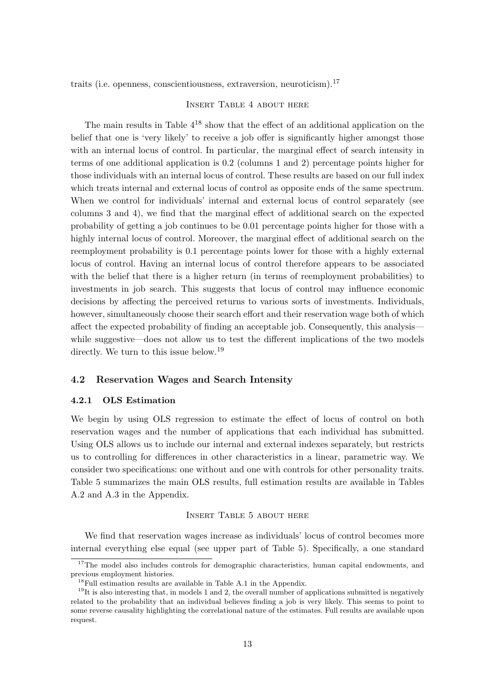traits (i.e. openness, conscientiousness, extraversion, neuroticism).<sup>17</sup>

#### Insert Table 4 about here

The main results in Table  $4^{18}$  show that the effect of an additional application on the belief that one is 'very likely' to receive a job offer is significantly higher amongst those with an internal locus of control. In particular, the marginal effect of search intensity in terms of one additional application is 0.2 (columns 1 and 2) percentage points higher for those individuals with an internal locus of control. These results are based on our full index which treats internal and external locus of control as opposite ends of the same spectrum. When we control for individuals' internal and external locus of control separately (see columns 3 and 4), we find that the marginal effect of additional search on the expected probability of getting a job continues to be 0.01 percentage points higher for those with a highly internal locus of control. Moreover, the marginal effect of additional search on the reemployment probability is 0.1 percentage points lower for those with a highly external locus of control. Having an internal locus of control therefore appears to be associated with the belief that there is a higher return (in terms of reemployment probabilities) to investments in job search. This suggests that locus of control may influence economic decisions by affecting the perceived returns to various sorts of investments. Individuals, however, simultaneously choose their search effort and their reservation wage both of which affect the expected probability of finding an acceptable job. Consequently, this analysis while suggestive—does not allow us to test the different implications of the two models directly. We turn to this issue below.<sup>19</sup>

#### 4.2 Reservation Wages and Search Intensity

#### 4.2.1 OLS Estimation

We begin by using OLS regression to estimate the effect of locus of control on both reservation wages and the number of applications that each individual has submitted. Using OLS allows us to include our internal and external indexes separately, but restricts us to controlling for differences in other characteristics in a linear, parametric way. We consider two specifications: one without and one with controls for other personality traits. Table 5 summarizes the main OLS results, full estimation results are available in Tables A.2 and A.3 in the Appendix.

#### Insert Table 5 about here

We find that reservation wages increase as individuals' locus of control becomes more internal everything else equal (see upper part of Table 5). Specifically, a one standard

<sup>&</sup>lt;sup>17</sup>The model also includes controls for demographic characteristics, human capital endowments, and previous employment histories.

<sup>&</sup>lt;sup>18</sup>Full estimation results are available in Table A.1 in the Appendix.

 $19$ It is also interesting that, in models 1 and 2, the overall number of applications submitted is negatively related to the probability that an individual believes finding a job is very likely. This seems to point to some reverse causality highlighting the correlational nature of the estimates. Full results are available upon request.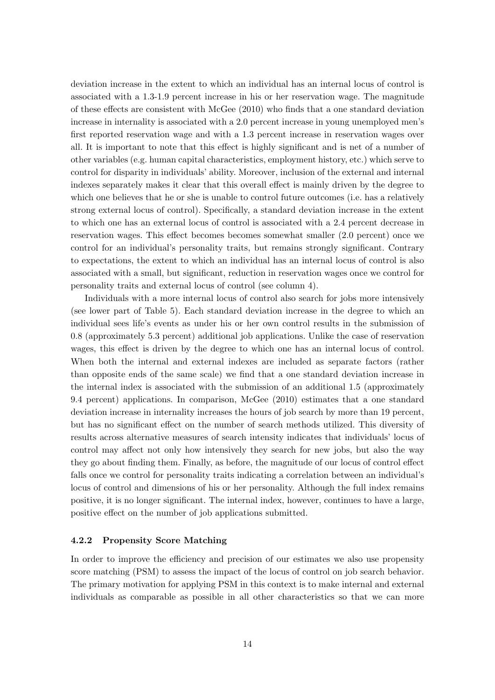deviation increase in the extent to which an individual has an internal locus of control is associated with a 1.3-1.9 percent increase in his or her reservation wage. The magnitude of these effects are consistent with McGee (2010) who finds that a one standard deviation increase in internality is associated with a 2.0 percent increase in young unemployed men's first reported reservation wage and with a 1.3 percent increase in reservation wages over all. It is important to note that this effect is highly significant and is net of a number of other variables (e.g. human capital characteristics, employment history, etc.) which serve to control for disparity in individuals' ability. Moreover, inclusion of the external and internal indexes separately makes it clear that this overall effect is mainly driven by the degree to which one believes that he or she is unable to control future outcomes (i.e. has a relatively strong external locus of control). Specifically, a standard deviation increase in the extent to which one has an external locus of control is associated with a 2.4 percent decrease in reservation wages. This effect becomes becomes somewhat smaller (2.0 percent) once we control for an individual's personality traits, but remains strongly significant. Contrary to expectations, the extent to which an individual has an internal locus of control is also associated with a small, but significant, reduction in reservation wages once we control for personality traits and external locus of control (see column 4).

Individuals with a more internal locus of control also search for jobs more intensively (see lower part of Table 5). Each standard deviation increase in the degree to which an individual sees life's events as under his or her own control results in the submission of 0.8 (approximately 5.3 percent) additional job applications. Unlike the case of reservation wages, this effect is driven by the degree to which one has an internal locus of control. When both the internal and external indexes are included as separate factors (rather than opposite ends of the same scale) we find that a one standard deviation increase in the internal index is associated with the submission of an additional 1.5 (approximately 9.4 percent) applications. In comparison, McGee (2010) estimates that a one standard deviation increase in internality increases the hours of job search by more than 19 percent, but has no significant effect on the number of search methods utilized. This diversity of results across alternative measures of search intensity indicates that individuals' locus of control may affect not only how intensively they search for new jobs, but also the way they go about finding them. Finally, as before, the magnitude of our locus of control effect falls once we control for personality traits indicating a correlation between an individual's locus of control and dimensions of his or her personality. Although the full index remains positive, it is no longer significant. The internal index, however, continues to have a large, positive effect on the number of job applications submitted.

#### 4.2.2 Propensity Score Matching

In order to improve the efficiency and precision of our estimates we also use propensity score matching (PSM) to assess the impact of the locus of control on job search behavior. The primary motivation for applying PSM in this context is to make internal and external individuals as comparable as possible in all other characteristics so that we can more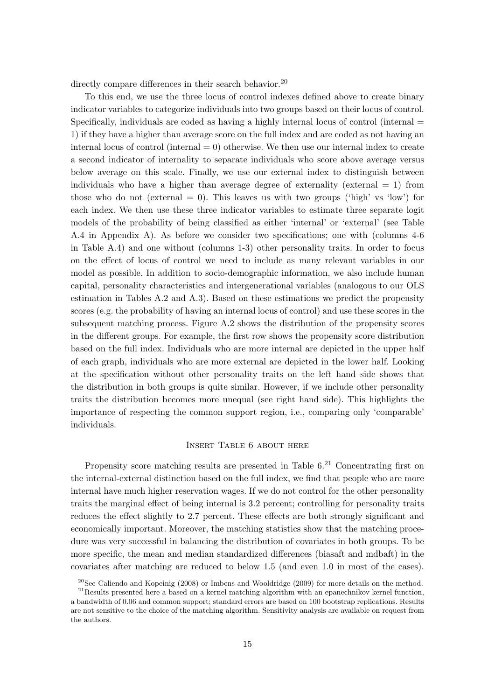directly compare differences in their search behavior.<sup>20</sup>

To this end, we use the three locus of control indexes defined above to create binary indicator variables to categorize individuals into two groups based on their locus of control. Specifically, individuals are coded as having a highly internal locus of control (internal  $=$ 1) if they have a higher than average score on the full index and are coded as not having an internal locus of control (internal  $= 0$ ) otherwise. We then use our internal index to create a second indicator of internality to separate individuals who score above average versus below average on this scale. Finally, we use our external index to distinguish between individuals who have a higher than average degree of externality (external  $= 1$ ) from those who do not (external  $= 0$ ). This leaves us with two groups ('high' vs 'low') for each index. We then use these three indicator variables to estimate three separate logit models of the probability of being classified as either 'internal' or 'external' (see Table A.4 in Appendix A). As before we consider two specifications; one with (columns 4-6 in Table A.4) and one without (columns 1-3) other personality traits. In order to focus on the effect of locus of control we need to include as many relevant variables in our model as possible. In addition to socio-demographic information, we also include human capital, personality characteristics and intergenerational variables (analogous to our OLS estimation in Tables A.2 and A.3). Based on these estimations we predict the propensity scores (e.g. the probability of having an internal locus of control) and use these scores in the subsequent matching process. Figure A.2 shows the distribution of the propensity scores in the different groups. For example, the first row shows the propensity score distribution based on the full index. Individuals who are more internal are depicted in the upper half of each graph, individuals who are more external are depicted in the lower half. Looking at the specification without other personality traits on the left hand side shows that the distribution in both groups is quite similar. However, if we include other personality traits the distribution becomes more unequal (see right hand side). This highlights the importance of respecting the common support region, i.e., comparing only 'comparable' individuals.

#### Insert Table 6 about here

Propensity score matching results are presented in Table 6.<sup>21</sup> Concentrating first on the internal-external distinction based on the full index, we find that people who are more internal have much higher reservation wages. If we do not control for the other personality traits the marginal effect of being internal is 3.2 percent; controlling for personality traits reduces the effect slightly to 2.7 percent. These effects are both strongly significant and economically important. Moreover, the matching statistics show that the matching procedure was very successful in balancing the distribution of covariates in both groups. To be more specific, the mean and median standardized differences (biasaft and mdbaft) in the covariates after matching are reduced to below 1.5 (and even 1.0 in most of the cases).

 $20$ See Caliendo and Kopeinig (2008) or Imbens and Wooldridge (2009) for more details on the method.

 $^{21}$ Results presented here a based on a kernel matching algorithm with an epanechnikov kernel function, a bandwidth of 0.06 and common support; standard errors are based on 100 bootstrap replications. Results are not sensitive to the choice of the matching algorithm. Sensitivity analysis are available on request from the authors.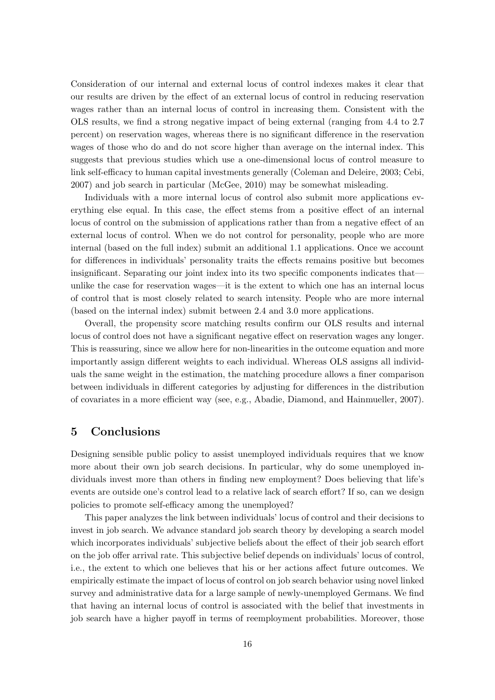Consideration of our internal and external locus of control indexes makes it clear that our results are driven by the effect of an external locus of control in reducing reservation wages rather than an internal locus of control in increasing them. Consistent with the OLS results, we find a strong negative impact of being external (ranging from 4.4 to 2.7 percent) on reservation wages, whereas there is no significant difference in the reservation wages of those who do and do not score higher than average on the internal index. This suggests that previous studies which use a one-dimensional locus of control measure to link self-efficacy to human capital investments generally (Coleman and Deleire, 2003; Cebi, 2007) and job search in particular (McGee, 2010) may be somewhat misleading.

Individuals with a more internal locus of control also submit more applications everything else equal. In this case, the effect stems from a positive effect of an internal locus of control on the submission of applications rather than from a negative effect of an external locus of control. When we do not control for personality, people who are more internal (based on the full index) submit an additional 1.1 applications. Once we account for differences in individuals' personality traits the effects remains positive but becomes insignificant. Separating our joint index into its two specific components indicates that unlike the case for reservation wages—it is the extent to which one has an internal locus of control that is most closely related to search intensity. People who are more internal (based on the internal index) submit between 2.4 and 3.0 more applications.

Overall, the propensity score matching results confirm our OLS results and internal locus of control does not have a significant negative effect on reservation wages any longer. This is reassuring, since we allow here for non-linearities in the outcome equation and more importantly assign different weights to each individual. Whereas OLS assigns all individuals the same weight in the estimation, the matching procedure allows a finer comparison between individuals in different categories by adjusting for differences in the distribution of covariates in a more efficient way (see, e.g., Abadie, Diamond, and Hainmueller, 2007).

### 5 Conclusions

Designing sensible public policy to assist unemployed individuals requires that we know more about their own job search decisions. In particular, why do some unemployed individuals invest more than others in finding new employment? Does believing that life's events are outside one's control lead to a relative lack of search effort? If so, can we design policies to promote self-efficacy among the unemployed?

This paper analyzes the link between individuals' locus of control and their decisions to invest in job search. We advance standard job search theory by developing a search model which incorporates individuals' subjective beliefs about the effect of their job search effort on the job offer arrival rate. This subjective belief depends on individuals' locus of control, i.e., the extent to which one believes that his or her actions affect future outcomes. We empirically estimate the impact of locus of control on job search behavior using novel linked survey and administrative data for a large sample of newly-unemployed Germans. We find that having an internal locus of control is associated with the belief that investments in job search have a higher payoff in terms of reemployment probabilities. Moreover, those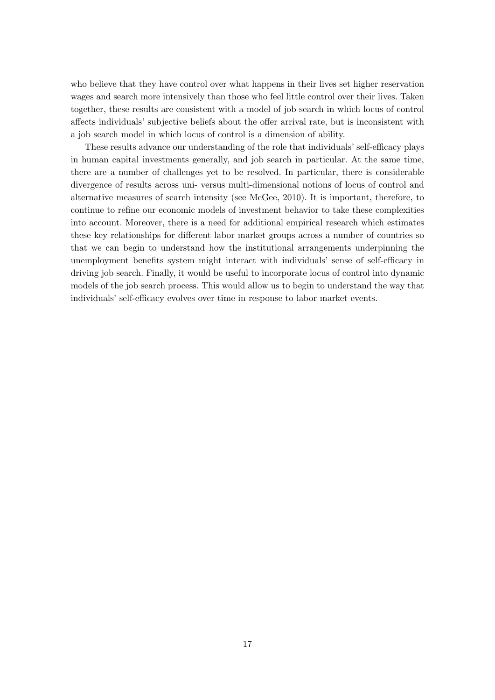who believe that they have control over what happens in their lives set higher reservation wages and search more intensively than those who feel little control over their lives. Taken together, these results are consistent with a model of job search in which locus of control affects individuals' subjective beliefs about the offer arrival rate, but is inconsistent with a job search model in which locus of control is a dimension of ability.

These results advance our understanding of the role that individuals' self-efficacy plays in human capital investments generally, and job search in particular. At the same time, there are a number of challenges yet to be resolved. In particular, there is considerable divergence of results across uni- versus multi-dimensional notions of locus of control and alternative measures of search intensity (see McGee, 2010). It is important, therefore, to continue to refine our economic models of investment behavior to take these complexities into account. Moreover, there is a need for additional empirical research which estimates these key relationships for different labor market groups across a number of countries so that we can begin to understand how the institutional arrangements underpinning the unemployment benefits system might interact with individuals' sense of self-efficacy in driving job search. Finally, it would be useful to incorporate locus of control into dynamic models of the job search process. This would allow us to begin to understand the way that individuals' self-efficacy evolves over time in response to labor market events.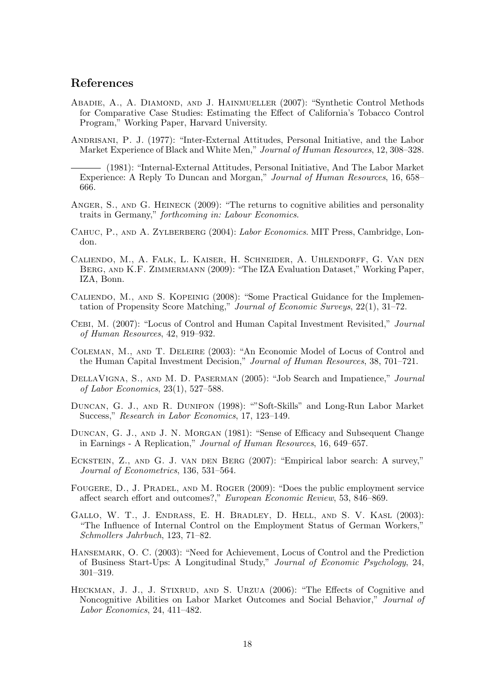### References

- ABADIE, A., A. DIAMOND, AND J. HAINMUELLER (2007): "Synthetic Control Methods for Comparative Case Studies: Estimating the Effect of California's Tobacco Control Program," Working Paper, Harvard University.
- Andrisani, P. J. (1977): "Inter-External Attitudes, Personal Initiative, and the Labor Market Experience of Black and White Men," Journal of Human Resources, 12, 308–328.

- ANGER, S., AND G. HEINECK (2009): "The returns to cognitive abilities and personality traits in Germany," forthcoming in: Labour Economics.
- CAHUC, P., AND A. ZYLBERBERG (2004): Labor Economics. MIT Press, Cambridge, London.
- Caliendo, M., A. Falk, L. Kaiser, H. Schneider, A. Uhlendorff, G. Van den BERG, AND K.F. ZIMMERMANN (2009): "The IZA Evaluation Dataset," Working Paper, IZA, Bonn.
- Caliendo, M., and S. Kopeinig (2008): "Some Practical Guidance for the Implementation of Propensity Score Matching," Journal of Economic Surveys, 22(1), 31–72.
- Cebi, M. (2007): "Locus of Control and Human Capital Investment Revisited," Journal of Human Resources, 42, 919–932.
- Coleman, M., and T. Deleire (2003): "An Economic Model of Locus of Control and the Human Capital Investment Decision," Journal of Human Resources, 38, 701–721.
- DellaVigna, S., and M. D. Paserman (2005): "Job Search and Impatience," Journal of Labor Economics, 23(1), 527–588.
- Duncan, G. J., and R. Dunifon (1998): ""Soft-Skills" and Long-Run Labor Market Success," Research in Labor Economics, 17, 123–149.
- Duncan, G. J., and J. N. Morgan (1981): "Sense of Efficacy and Subsequent Change in Earnings - A Replication," Journal of Human Resources, 16, 649–657.
- Eckstein, Z., and G. J. van den Berg (2007): "Empirical labor search: A survey," Journal of Econometrics, 136, 531–564.
- Fougere, D., J. Pradel, and M. Roger (2009): "Does the public employment service affect search effort and outcomes?," European Economic Review, 53, 846–869.
- Gallo, W. T., J. Endrass, E. H. Bradley, D. Hell, and S. V. Kasl (2003): "The Influence of Internal Control on the Employment Status of German Workers," Schmollers Jahrbuch, 123, 71–82.
- Hansemark, O. C. (2003): "Need for Achievement, Locus of Control and the Prediction of Business Start-Ups: A Longitudinal Study," Journal of Economic Psychology, 24, 301–319.
- Heckman, J. J., J. Stixrud, and S. Urzua (2006): "The Effects of Cognitive and Noncognitive Abilities on Labor Market Outcomes and Social Behavior," Journal of Labor Economics, 24, 411–482.

<sup>(1981): &</sup>quot;Internal-External Attitudes, Personal Initiative, And The Labor Market Experience: A Reply To Duncan and Morgan," Journal of Human Resources, 16, 658– 666.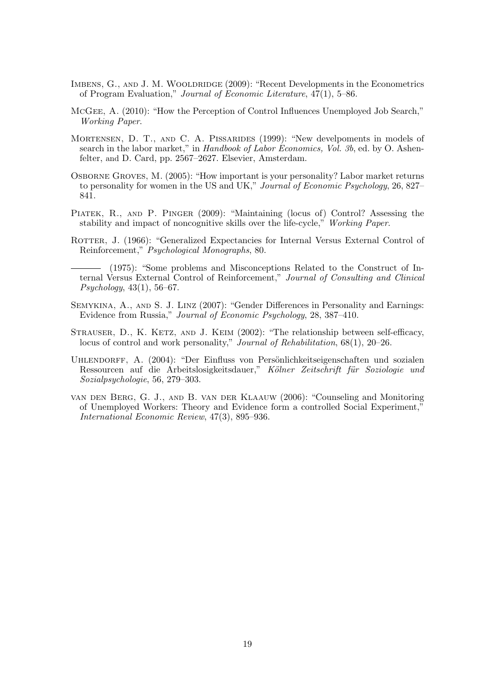- IMBENS, G., AND J. M. WOOLDRIDGE (2009): "Recent Developments in the Econometrics of Program Evaluation," Journal of Economic Literature, 47(1), 5–86.
- McGee, A. (2010): "How the Perception of Control Influences Unemployed Job Search," Working Paper.
- Mortensen, D. T., and C. A. Pissarides (1999): "New develpoments in models of search in the labor market," in *Handbook of Labor Economics*, *Vol. 3b*, ed. by O. Ashenfelter, and D. Card, pp. 2567–2627. Elsevier, Amsterdam.
- Osborne Groves, M. (2005): "How important is your personality? Labor market returns to personality for women in the US and UK," Journal of Economic Psychology, 26, 827– 841.
- PIATEK, R., AND P. PINGER (2009): "Maintaining (locus of) Control? Assessing the stability and impact of noncognitive skills over the life-cycle," Working Paper.
- ROTTER, J. (1966): "Generalized Expectancies for Internal Versus External Control of Reinforcement," Psychological Monographs, 80.
- (1975): "Some problems and Misconceptions Related to the Construct of Internal Versus External Control of Reinforcement," Journal of Consulting and Clinical Psychology, 43(1), 56–67.
- Semykina, A., and S. J. Linz (2007): "Gender Differences in Personality and Earnings: Evidence from Russia," Journal of Economic Psychology, 28, 387–410.
- STRAUSER, D., K. KETZ, AND J. KEIM (2002): "The relationship between self-efficacy, locus of control and work personality," Journal of Rehabilitation, 68(1), 20–26.
- UHLENDORFF, A. (2004): "Der Einfluss von Persönlichkeitseigenschaften und sozialen Ressourcen auf die Arbeitslosigkeitsdauer," Kölner Zeitschrift für Soziologie und Sozialpsychologie, 56, 279–303.
- van den Berg, G. J., and B. van der Klaauw (2006): "Counseling and Monitoring of Unemployed Workers: Theory and Evidence form a controlled Social Experiment," International Economic Review, 47(3), 895–936.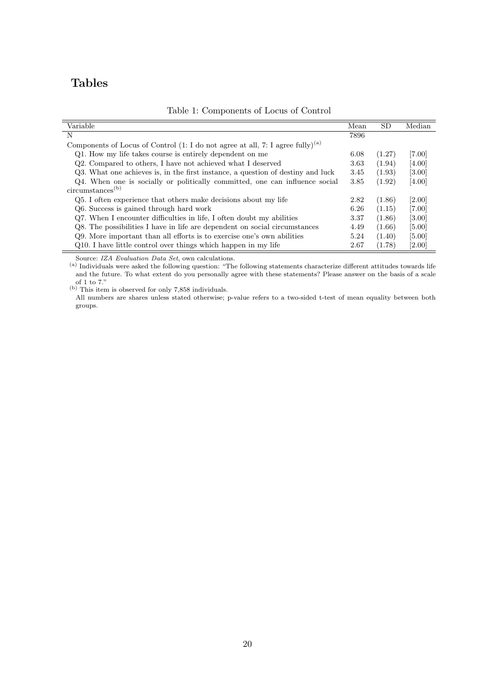# Tables

| Variable                                                                                   | Mean | SD     | Median              |
|--------------------------------------------------------------------------------------------|------|--------|---------------------|
| N                                                                                          | 7896 |        |                     |
| Components of Locus of Control (1: I do not agree at all, 7: I agree fully) <sup>(a)</sup> |      |        |                     |
| Q1. How my life takes course is entirely dependent on me                                   | 6.08 | (1.27) | [7.00]              |
| Q2. Compared to others, I have not achieved what I deserved                                | 3.63 | (1.94) | [4.00]              |
| Q3. What one achieves is, in the first instance, a question of destiny and luck            | 3.45 | (1.93) | $\left[3.00\right]$ |
| Q4. When one is socially or politically committed, one can influence social                | 3.85 | (1.92) | [4.00]              |
| circumstances <sup>(b)</sup>                                                               |      |        |                     |
| Q5. I often experience that others make decisions about my life                            | 2.82 | (1.86) | [2.00]              |
| Q6. Success is gained through hard work                                                    | 6.26 | (1.15) | [7.00]              |
| Q7. When I encounter difficulties in life, I often doubt my abilities                      | 3.37 | (1.86) | $\left[3.00\right]$ |
| Q8. The possibilities I have in life are dependent on social circumstances                 | 4.49 | (1.66) | [5.00]              |
| Q9. More important than all efforts is to exercise one's own abilities                     | 5.24 | (1.40) | [5.00]              |
| Q10. I have little control over things which happen in my life                             | 2.67 | (1.78) | [2.00]              |

#### Table 1: Components of Locus of Control

Source: IZA Evaluation Data Set, own calculations.

(a) Individuals were asked the following question: "The following statements characterize different attitudes towards life and the future. To what extent do you personally agree with these statements? Please answer on the basis of a scale of 1 to 7."

(b) This item is observed for only 7,858 individuals.

All numbers are shares unless stated otherwise; p-value refers to a two-sided t-test of mean equality between both groups.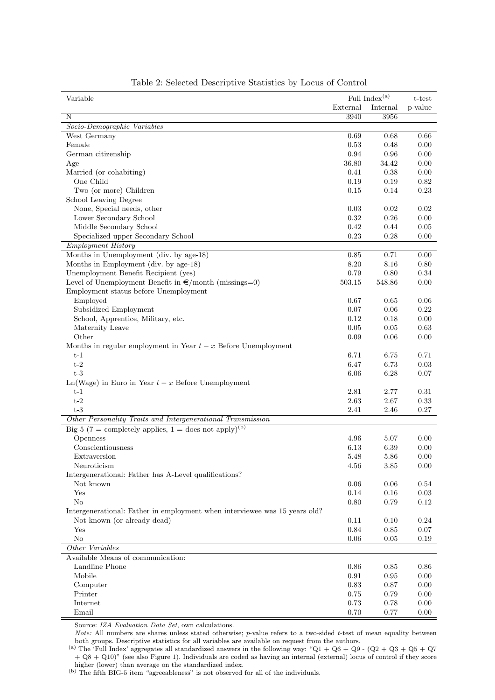| Variable                                                                   |          | Full $\overline{\text{Index}^{(a)}}$ | t-test   |
|----------------------------------------------------------------------------|----------|--------------------------------------|----------|
| N                                                                          | External | Internal                             | p-value  |
|                                                                            | 3940     | 3956                                 |          |
| Socio-Demographic Variables                                                |          |                                      |          |
| West Germany                                                               | 0.69     | 0.68                                 | 0.66     |
| Female                                                                     | 0.53     | 0.48                                 | 0.00     |
| German citizenship                                                         | 0.94     | 0.96                                 | 0.00     |
| Age                                                                        | 36.80    | 34.42                                | 0.00     |
| Married (or cohabiting)                                                    | 0.41     | 0.38                                 | 0.00     |
| One Child                                                                  | 0.19     | 0.19                                 | 0.82     |
| Two (or more) Children                                                     | 0.15     | 0.14                                 | 0.23     |
| School Leaving Degree                                                      |          |                                      |          |
| None, Special needs, other                                                 | 0.03     | 0.02                                 | 0.02     |
| Lower Secondary School                                                     | 0.32     | 0.26                                 | 0.00     |
| Middle Secondary School                                                    | 0.42     | 0.44                                 | 0.05     |
| Specialized upper Secondary School                                         | 0.23     | 0.28                                 | 0.00     |
| <b>Employment History</b>                                                  |          |                                      |          |
| Months in Unemployment (div. by age-18)                                    | 0.85     | 0.71                                 | 0.00     |
| Months in Employment (div. by age-18)                                      | 8.20     | 8.16                                 | 0.80     |
| Unemployment Benefit Recipient (yes)                                       | 0.79     | 0.80                                 | 0.34     |
| Level of Unemployment Benefit in $\epsilon$ /month (missings=0)            | 503.15   | 548.86                               | 0.00     |
| Employment status before Unemployment                                      |          |                                      |          |
| Employed                                                                   | 0.67     | 0.65                                 | 0.06     |
| Subsidized Employment                                                      | 0.07     | 0.06                                 | 0.22     |
| School, Apprentice, Military, etc.                                         | 0.12     | 0.18                                 | 0.00     |
| Maternity Leave                                                            | 0.05     | 0.05                                 | 0.63     |
| Other                                                                      | 0.09     | 0.06                                 | 0.00     |
| Months in regular employment in Year $t - x$ Before Unemployment           |          |                                      |          |
| t-1                                                                        | 6.71     | 6.75                                 | 0.71     |
| $\ensuremath{\text{t-2}}$                                                  | 6.47     | 6.73                                 | 0.03     |
| $t-3$                                                                      | 6.06     | 6.28                                 | 0.07     |
| $Ln(Wage)$ in Euro in Year $t - x$ Before Unemployment                     |          |                                      |          |
| $t-1$                                                                      | 2.81     | 2.77                                 | 0.31     |
| $t-2$                                                                      | 2.63     | 2.67                                 | 0.33     |
| $t-3$                                                                      | 2.41     | 2.46                                 | 0.27     |
| Other Personality Traits and Intergenerational Transmission                |          |                                      |          |
| Big-5 (7 = completely applies, 1 = does not apply) <sup>(b)</sup>          |          |                                      |          |
| Openness                                                                   | 4.96     | 5.07                                 | 0.00     |
| Conscientiousness                                                          | 6.13     | 6.39                                 | 0.00     |
| Extraversion                                                               | 5.48     | 5.86                                 | 0.00     |
| Neuroticism                                                                | 4.56     | 3.85                                 | 0.00     |
| Intergenerational: Father has A-Level qualifications?                      |          |                                      |          |
| Not known                                                                  | 0.06     | 0.06                                 | 0.54     |
| $\operatorname{Yes}$                                                       | 0.14     | 0.16                                 | $0.03\,$ |
| $\rm No$                                                                   | 0.80     | 0.79                                 | 0.12     |
| Intergenerational: Father in employment when interviewee was 15 years old? |          |                                      |          |
| Not known (or already dead)                                                | 0.11     | 0.10                                 | 0.24     |
| Yes                                                                        | 0.84     | 0.85                                 | 0.07     |
| $\rm No$                                                                   | 0.06     | 0.05                                 | 0.19     |
| Other Variables                                                            |          |                                      |          |
| Available Means of communication:                                          |          |                                      |          |
| Landline Phone                                                             | 0.86     | 0.85                                 | 0.86     |
| Mobile                                                                     | 0.91     | 0.95                                 | 0.00     |
| Computer                                                                   | 0.83     | 0.87                                 | 0.00     |
| Printer                                                                    | 0.75     | 0.79                                 | 0.00     |
| Internet                                                                   | $0.73\,$ | 0.78                                 | $0.00\,$ |
| Email                                                                      | $0.70\,$ | 0.77                                 | $0.00\,$ |

#### Table 2: Selected Descriptive Statistics by Locus of Control

Source: IZA Evaluation Data Set, own calculations.

Note: All numbers are shares unless stated otherwise; p-value refers to a two-sided t-test of mean equality between both groups. Descriptive statistics for all variables are available on request from the authors.

(a) The 'Full Index' aggregates all standardized answers in the following way: "Q1 + Q6 + Q9 - (Q2 + Q3 + Q5 + Q7 + Q8 + Q10)" (see also Figure 1). Individuals are coded as having an internal (external) locus of control if they score higher (lower) than average on the standardized index.

(b) The fifth BIG-5 item "agreeableness" is not observed for all of the individuals.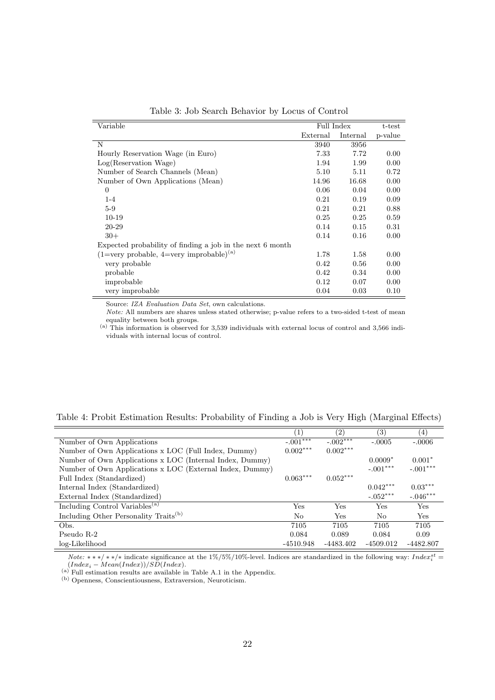| Variable                                                  | Full Index |          | t-test  |
|-----------------------------------------------------------|------------|----------|---------|
|                                                           | External   | Internal | p-value |
| N                                                         | 3940       | 3956     |         |
| Hourly Reservation Wage (in Euro)                         | 7.33       | 7.72     | 0.00    |
| $Log(Reservation\ Wage)$                                  | 1.94       | 1.99     | 0.00    |
| Number of Search Channels (Mean)                          | 5.10       | 5.11     | 0.72    |
| Number of Own Applications (Mean)                         | 14.96      | 16.68    | 0.00    |
| $\theta$                                                  | 0.06       | 0.04     | 0.00    |
| $1 - 4$                                                   | 0.21       | 0.19     | 0.09    |
| $5-9$                                                     | 0.21       | 0.21     | 0.88    |
| $10-19$                                                   | 0.25       | 0.25     | 0.59    |
| 20-29                                                     | 0.14       | 0.15     | 0.31    |
| $30+$                                                     | 0.14       | 0.16     | 0.00    |
| Expected probability of finding a job in the next 6 month |            |          |         |
| $(1=very\ probable, 4=very\ improbable)^{(a)}$            | 1.78       | 1.58     | 0.00    |
| very probable                                             | 0.42       | 0.56     | 0.00    |
| probable                                                  | 0.42       | 0.34     | 0.00    |
| improbable                                                | 0.12       | 0.07     | 0.00    |
| very improbable                                           | 0.04       | 0.03     | 0.10    |

Table 3: Job Search Behavior by Locus of Control

Source: IZA Evaluation Data Set, own calculations.

Note: All numbers are shares unless stated otherwise; p-value refers to a two-sided t-test of mean equality between both groups.

(a) This information is observed for 3,539 individuals with external locus of control and 3,566 individuals with internal locus of control.

|  | Table 4: Probit Estimation Results: Probability of Finding a Job is Very High (Marginal Effects) |  |  |  |  |
|--|--------------------------------------------------------------------------------------------------|--|--|--|--|
|  |                                                                                                  |  |  |  |  |

|                                                          | (1)        | (2)        | $\left( 3\right)$ | $\left( 4\right)$ |
|----------------------------------------------------------|------------|------------|-------------------|-------------------|
| Number of Own Applications                               | $-.001***$ | $-.002***$ | $-.0005$          | $-.0006$          |
| Number of Own Applications x LOC (Full Index, Dummy)     | $0.002***$ | $0.002***$ |                   |                   |
| Number of Own Applications x LOC (Internal Index, Dummy) |            |            | $0.0009*$         | $0.001*$          |
| Number of Own Applications x LOC (External Index, Dummy) |            |            | $-.001***$        | $-.001***$        |
| Full Index (Standardized)                                | $0.063***$ | $0.052***$ |                   |                   |
| Internal Index (Standardized)                            |            |            | $0.042***$        | $0.03***$         |
| External Index (Standardized)                            |            |            | $-.052***$        | $-.046***$        |
| Including Control Variables <sup>(a)</sup>               | Yes        | Yes        | Yes               | <b>Yes</b>        |
| Including Other Personality Traits <sup>(b)</sup>        | No         | <b>Yes</b> | No                | Yes               |
| Obs.                                                     | 7105       | 7105       | 7105              | 7105              |
| Pseudo R-2                                               | 0.084      | 0.089      | 0.084             | 0.09              |
| log-Likelihood                                           | -4510.948  | -4483.402  | $-4509.012$       | -4482.807         |

*Note:* \*\*\*/\*\*/\* indicate significance at the 1%/5%/10%-level. Indices are standardized in the following way:  $Index_i^{st}$  $(Index_i - Mean(Index))/SD(Index)).$ 

(a) Full estimation results are available in Table A.1 in the Appendix.

(b) Openness, Conscientiousness, Extraversion, Neuroticism.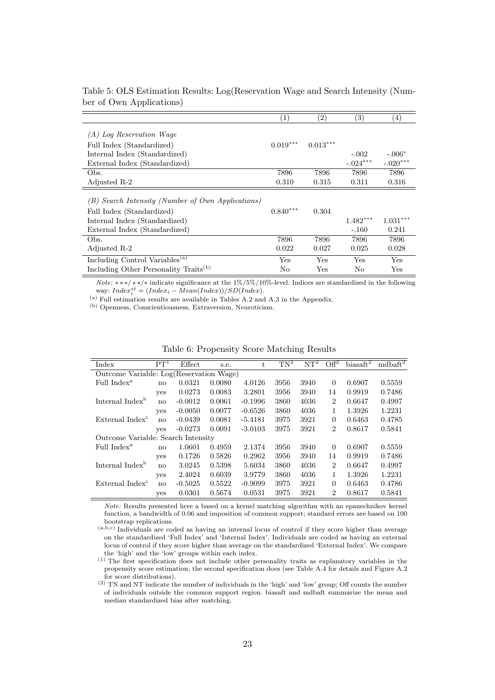|                                                                                | $\left(1\right)$ | $\left( 2\right)$ | $\left( 3\right)$ | (4)        |
|--------------------------------------------------------------------------------|------------------|-------------------|-------------------|------------|
| (A) Log Reservation Wage                                                       |                  |                   |                   |            |
| Full Index (Standardized)                                                      | $0.019***$       | $0.013***$        |                   |            |
| Internal Index (Standardized)                                                  |                  |                   | $-.002$           | $-.006*$   |
| External Index (Standardized)                                                  |                  |                   | $-.024***$        | $-.020***$ |
| Obs.                                                                           | 7896             | 7896              | 7896              | 7896       |
| Adjusted R-2                                                                   | 0.310            | 0.315             | 0.311             | 0.316      |
| (B) Search Intensity (Number of Own Applications)<br>Full Index (Standardized) | $0.840***$       | 0.304             |                   |            |
| Internal Index (Standardized)                                                  |                  |                   | $1.482***$        | $1.031***$ |
| External Index (Standardized)                                                  |                  |                   | $-.160$           | 0.241      |
| Obs.                                                                           | 7896             | 7896              | 7896              | 7896       |
| Adjusted R-2                                                                   | 0.022            | 0.027             | 0.025             | 0.028      |
| Including Control Variables <sup>(a)</sup>                                     | Yes              | Yes               | <b>Yes</b>        | Yes        |
| Including Other Personality Traits <sup>(b)</sup>                              | No               | Yes               | No                | Yes        |

Table 5: OLS Estimation Results: Log(Reservation Wage and Search Intensity (Number of Own Applications)

Note: ∗ ∗ ∗/ ∗ ∗/∗ indicate significance at the 1%/5%/10%-level. Indices are standardized in the following way:  $Index_i^{st} = (Index_i - Mean(Index)) / SD(Index)$ .

(a) Full estimation results are available in Tables A.2 and A.3 in the Appendix.

(b) Openness, Conscientiousness, Extraversion, Neuroticism.

| Index                                   | PT <sup>1</sup> | Effect    | s.e.   | t.        | $TN^2$ | $NT^{2}$ | $\Omega$ ff <sup>2</sup> | $bias$ aft <sup>2</sup> | $mdb$ aft <sup>2</sup> |
|-----------------------------------------|-----------------|-----------|--------|-----------|--------|----------|--------------------------|-------------------------|------------------------|
| Outcome Variable: Log(Reservation Wage) |                 |           |        |           |        |          |                          |                         |                        |
| Full Index <sup>a</sup>                 | no              | 0.0321    | 0.0080 | 4.0126    | 3956   | 3940     | $\Omega$                 | 0.6907                  | 0.5559                 |
|                                         | <b>ves</b>      | 0.0273    | 0.0083 | 3.2801    | 3956   | 3940     | 14                       | 0.9919                  | 0.7486                 |
| Internal Index <sup>b</sup>             | $\mathbf{n}$    | $-0.0012$ | 0.0061 | $-0.1996$ | 3860   | 4036     | $\overline{2}$           | 0.6647                  | 0.4997                 |
|                                         | <b>ves</b>      | $-0.0050$ | 0.0077 | $-0.6526$ | 3860   | 4036     | 1                        | 1.3926                  | 1.2231                 |
| External Index <sup>c</sup>             | no              | $-0.0439$ | 0.0081 | $-5.4181$ | 3975   | 3921     | $\Omega$                 | 0.6463                  | 0.4785                 |
|                                         | <b>ves</b>      | $-0.0273$ | 0.0091 | $-3.0103$ | 3975   | 3921     | $\overline{2}$           | 0.8617                  | 0.5841                 |
| Outcome Variable: Search Intensity      |                 |           |        |           |        |          |                          |                         |                        |
| Full Index <sup>a</sup>                 | no              | 1.0601    | 0.4959 | 2.1374    | 3956   | 3940     | $\Omega$                 | 0.6907                  | 0.5559                 |
|                                         | <b>ves</b>      | 0.1726    | 0.5826 | 0.2962    | 3956   | 3940     | 14                       | 0.9919                  | 0.7486                 |
| Internal Index <sup>b</sup>             | $\mathbf{n}$    | 3.0245    | 0.5398 | 5.6034    | 3860   | 4036     | $\overline{2}$           | 0.6647                  | 0.4997                 |
|                                         | yes             | 2.4024    | 0.6039 | 3.9779    | 3860   | 4036     | 1                        | 1.3926                  | 1.2231                 |
| External Index <sup>c</sup>             | $\mathbf{n}$    | $-0.5025$ | 0.5522 | $-0.9099$ | 3975   | 3921     | $\Omega$                 | 0.6463                  | 0.4786                 |
|                                         | <b>ves</b>      | 0.0301    | 0.5674 | 0.0531    | 3975   | 3921     | $\overline{2}$           | 0.8617                  | 0.5841                 |

Table 6: Propensity Score Matching Results

Note: Results presented here a based on a kernel matching algorithm with an epanechnikov kernel function, a bandwidth of 0.06 and imposition of common support; standard errors are based on 100 bootstrap replications.

(a,b,c) Individuals are coded as having an internal locus of control if they score higher than average on the standardized 'Full Index' and 'Internal Index'. Individuals are coded as having an external locus of control if they score higher than average on the standardized 'External Index'. We compare the 'high' and the 'low' groups within each index.

(1) The first specification does not include other personality traits as explanatory variables in the propensity score estimation; the second specification does (see Table A.4 for details and Figure A.2 for score distributions).

(2) TN and NT indicate the number of individuals in the 'high' and 'low' group; Off counts the number of individuals outside the common support region. biasaft and mdbaft summarize the mean and median standardized bias after matching.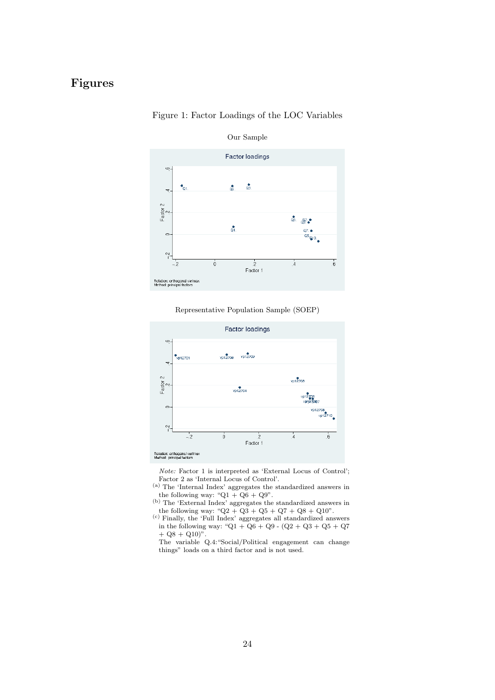# Figures



### Figure 1: Factor Loadings of the LOC Variables





Note: Factor 1 is interpreted as 'External Locus of Control'; Factor 2 as 'Internal Locus of Control'.

(a) The 'Internal Index' aggregates the standardized answers in the following way: " $Q1 + Q6 + Q9$ ".

(b) The 'External Index' aggregates the standardized answers in the following way: " $Q2 + Q3 + Q5 + Q7 + Q8 + Q10$ ".

(c) Finally, the 'Full Index' aggregates all standardized answers in the following way: " $Q1 + Q6 + Q9 - (Q2 + Q3 + Q5 + Q7)$  $+$  Q8 + Q10)".

The variable Q.4:"Social/Political engagement can change things" loads on a third factor and is not used.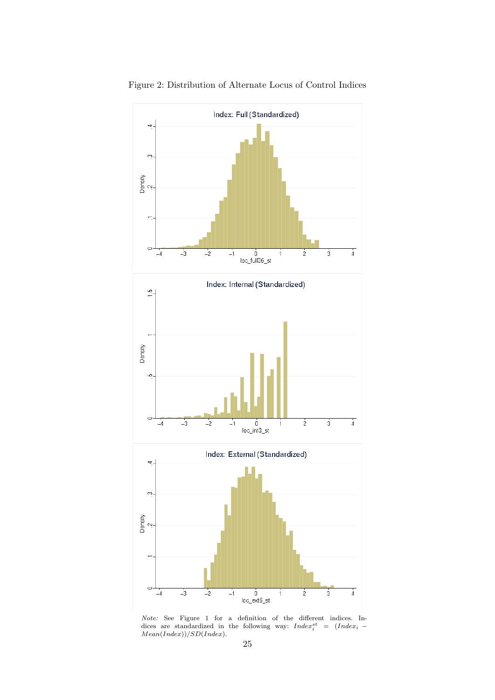

Figure 2: Distribution of Alternate Locus of Control Indices

Note: See Figure 1 for a definition of the different indices. Indices are standardized in the following way:  $Index_i^t = (Index_i Mean(Index))/SD(Index).$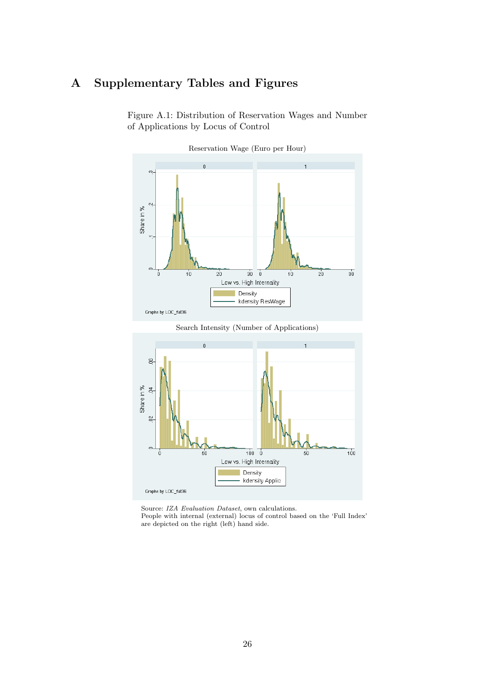# A Supplementary Tables and Figures

Figure A.1: Distribution of Reservation Wages and Number of Applications by Locus of Control



Search Intensity (Number of Applications)



Source: IZA Evaluation Dataset, own calculations. People with internal (external) locus of control based on the 'Full Index' are depicted on the right (left) hand side.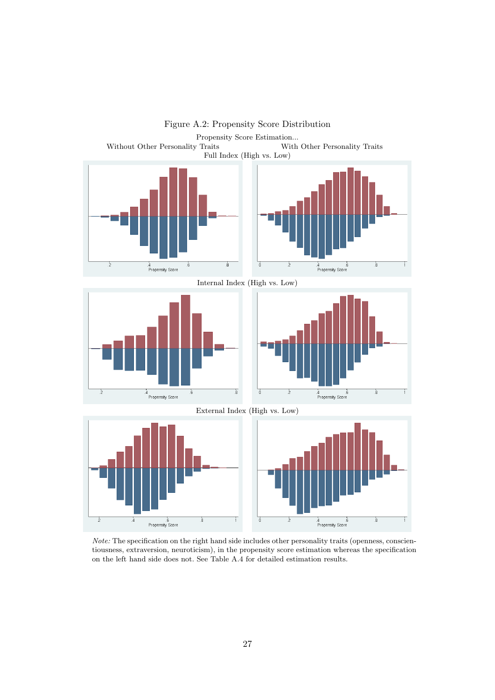

Note: The specification on the right hand side includes other personality traits (openness, conscientiousness, extraversion, neuroticism), in the propensity score estimation whereas the specification on the left hand side does not. See Table A.4 for detailed estimation results.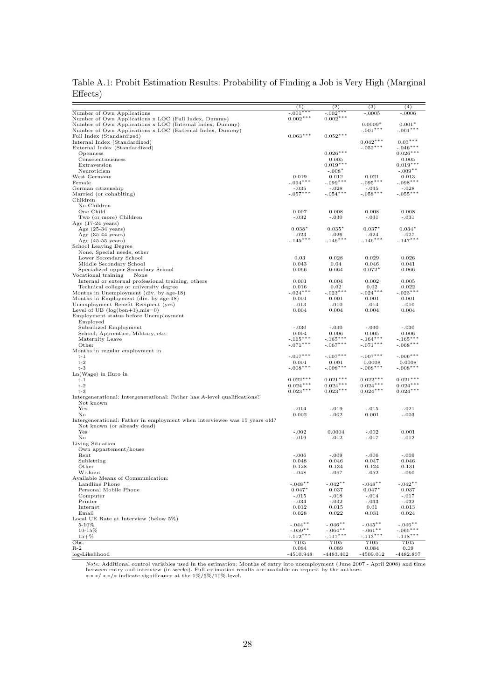|                                                                            | (1)         | (2)         | (3)         | (4)         |
|----------------------------------------------------------------------------|-------------|-------------|-------------|-------------|
| Number of Own Applications                                                 | $-.001*$    | $-0.002**$  | $-.0005$    | $-.0006$    |
|                                                                            | $0.002***$  | $0.002***$  |             |             |
| Number of Own Applications x LOC (Full Index, Dummy)                       |             |             |             |             |
| Number of Own Applications x LOC (Internal Index, Dummy)                   |             |             | $0.0009*$   | $0.001*$    |
| Number of Own Applications x LOC (External Index, Dummy)                   |             |             | $-.001***$  | $-.001***$  |
| Full Index (Standardized)                                                  | $0.063***$  | $0.052***$  |             |             |
|                                                                            |             |             |             |             |
| Internal Index (Standardized)                                              |             |             | $0.042***$  | $0.03***$   |
| External Index (Standardized)                                              |             |             | $-.052***$  | $-.046***$  |
| Openness                                                                   |             | $0.026***$  |             | $0.026***$  |
|                                                                            |             |             |             |             |
| Conscientiousness                                                          |             | 0.005       |             | 0.005       |
| Extraversion                                                               |             | $0.019***$  |             | $0.019***$  |
| Neuroticism                                                                |             | $-.008*$    |             | $-.009**$   |
| West Germany                                                               | 0.019       | 0.012       | 0.021       | 0.013       |
|                                                                            |             |             |             |             |
| Female                                                                     | $-.094***$  | $-.099***$  | $-.095***$  | $-.098***$  |
| German citizenship                                                         | $-.035$     | $-.028$     | $-.035$     | $-.028$     |
| Married (or cohabiting)                                                    | $-.057***$  | $-.054***$  | $-.058***$  | $-.055***$  |
|                                                                            |             |             |             |             |
| Children                                                                   |             |             |             |             |
| No Children                                                                |             |             |             |             |
| One Child                                                                  | 0.007       | 0.008       | 0.008       | 0.008       |
|                                                                            |             |             |             |             |
| Two (or more) Children                                                     | $-.032$     | $-.030$     | $-.031$     | $-.031$     |
| Age $(17-24 \text{ years})$                                                |             |             |             |             |
| Age $(25-34 \text{ years})$                                                | $0.038*$    | $0.035*$    | $0.037*$    | $0.034*$    |
|                                                                            | $-.023$     | $-.026$     |             | $-.027$     |
| Age $(35-44 \text{ years})$                                                |             |             | $-.024$     |             |
| Age $(45-55 \text{ years})$                                                | $-.145***$  | $-.146***$  | $-.146***$  | $-.147***$  |
| School Leaving Degree                                                      |             |             |             |             |
| None, Special needs, other                                                 |             |             |             |             |
|                                                                            |             |             |             |             |
| Lower Secondary School                                                     | 0.03        | 0.028       | 0.029       | 0.026       |
| Middle Secondary School                                                    | 0.043       | 0.04        | 0.046       | 0.041       |
| Specialized upper Secondary School                                         | 0.066       | 0.064       | $0.072*$    | 0.066       |
|                                                                            |             |             |             |             |
| Vocational training<br>None                                                |             |             |             |             |
| Internal or external professional training, others                         | 0.001       | 0.004       | 0.002       | 0.005       |
| Technical college or university degree                                     | 0.016       | 0.02        | 0.02        | 0.022       |
|                                                                            | $-.024***$  |             | $-.024***$  | $-.023***$  |
| Months in Unemployment (div. by age-18)                                    |             | $-.023***$  |             |             |
| Months in Employment (div. by age-18)                                      | 0.001       | 0.001       | 0.001       | 0.001       |
| Unemployment Benefit Recipient (yes)                                       | $-.013$     | $-.010$     | $-.014$     | $-.010$     |
|                                                                            | 0.004       | 0.004       | 0.004       | 0.004       |
| Level of UB $(\log(ben+1), mis=0)$                                         |             |             |             |             |
| Employment status before Unemployment                                      |             |             |             |             |
| Employed                                                                   |             |             |             |             |
| Subsidized Employment                                                      | $-.030$     | $-.030$     | $-.030$     | $-.030$     |
|                                                                            |             |             |             |             |
| School, Apprentice, Military, etc.                                         | 0.004       | 0.006       | 0.005       | 0.006       |
| Maternity Leave                                                            | $-.165***$  | $-.165***$  | $-.164***$  | $-.165***$  |
| Other                                                                      | $-.071***$  | $-.067***$  | $-.071***$  | $-.068***$  |
|                                                                            |             |             |             |             |
| Months in regular employment in                                            |             |             |             |             |
| $t-1$                                                                      | $-.007***$  | $-.007***$  | $-.007***$  | $-.006***$  |
| $t-2$                                                                      | 0.001       | 0.001       | 0.0008      | 0.0008      |
| $t-3$                                                                      | $-.008***$  | $-.008***$  | $-.008***$  | $-.008***$  |
|                                                                            |             |             |             |             |
| $Ln(Wage)$ in Euro in                                                      |             |             |             |             |
| $t-1$                                                                      | $0.022***$  | $0.021***$  | $0.022***$  | $0.021***$  |
| $t-2$                                                                      | $0.024***$  | $0.024***$  | $0.024***$  | $0.024***$  |
|                                                                            |             |             |             |             |
| $t-3$                                                                      | $0.023***$  | $0.023***$  | $0.024***$  | $0.024***$  |
| Intergenerational: Intergenerational: Father has A-level qualifications?   |             |             |             |             |
| Not known                                                                  |             |             |             |             |
| Yes                                                                        | $-.014$     | $-.019$     | $-.015$     | $-.021$     |
|                                                                            |             |             |             |             |
| No                                                                         | 0.002       | $-.002$     | 0.001       | $-.003$     |
| Intergenerational: Father in employment when interviewee was 15 years old? |             |             |             |             |
| Not known (or already dead)                                                |             |             |             |             |
|                                                                            |             |             |             |             |
| Yes                                                                        | $-.002$     | 0.0004      | $-.002$     | 0.001       |
| No                                                                         | $-.019$     | $-.012$     | $-.017$     | $-.012$     |
| Living Situation                                                           |             |             |             |             |
|                                                                            |             |             |             |             |
| Own appartement/house                                                      |             |             |             |             |
| Rent                                                                       | $-.006$     | $-.009$     | $-.006$     | $-.009$     |
| Subletting                                                                 | 0.048       | 0.046       | 0.047       | 0.046       |
| Other                                                                      | 0.128       | 0.134       | 0.124       | 0.131       |
|                                                                            |             |             |             |             |
| Without                                                                    | $-.048$     | $-.057$     | $-.052$     | $-.060$     |
| Available Means of Communication:                                          |             |             |             |             |
| Landline Phone                                                             | $-.048**$   | $-.042**$   | $-.048**$   | $-.042**$   |
|                                                                            |             |             |             |             |
| Personal Mobile Phone                                                      | $0.047*$    | 0.037       | $0.047*$    | 0.037       |
| Computer                                                                   | $-.015$     | $-.018$     | $-.014$     | $-.017$     |
| Printer                                                                    | $-.034$     | $-.032$     | $-.033$     | $-.032$     |
|                                                                            |             |             |             |             |
| Internet                                                                   | 0.012       | 0.015       | 0.01        | 0.013       |
| Email                                                                      | 0.028       | 0.022       | 0.031       | 0.024       |
| Local UE Rate at Interview (below 5%)                                      |             |             |             |             |
|                                                                            |             |             |             |             |
| $5 - 10\%$                                                                 | $-.044**$   | $-.046**$   | $-.045**$   | $-.046**$   |
| $10 - 15%$                                                                 | $-.059**$   | $-.064***$  | $-.061**$   | $-.065***$  |
| $15 + \%$                                                                  | $-.112***$  | $-.117***$  | $-.113***$  | $-.118***$  |
|                                                                            |             |             |             |             |
| Obs.                                                                       | 7105        | 7105        | 7105        | 7105        |
| $R-2$                                                                      | 0.084       | 0.089       | 0.084       | 0.09        |
| log-Likelihood                                                             | $-4510.948$ | $-4483.402$ | $-4509.012$ | $-4482.807$ |

Table A.1: Probit Estimation Results: Probability of Finding a Job is Very High (Marginal Effects)

*Note:* Additional control variables used in the estimation: Months of entry into unemployment (June 2007 - April 2008) and time<br>between entry and interview (in weeks). Full estimation results are available on request by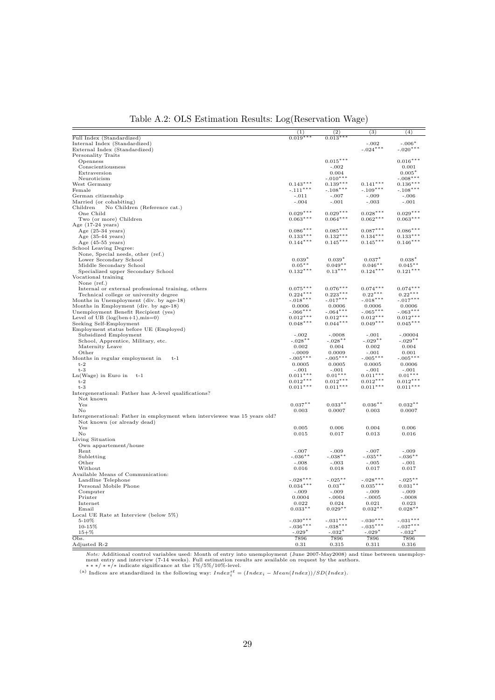|                                                                                              | (1)                      | (2)                      | (3)                      | (4)                      |
|----------------------------------------------------------------------------------------------|--------------------------|--------------------------|--------------------------|--------------------------|
| Full Index (Standardized)                                                                    | $0.019**$                | $0.013***$               | $-.002$                  | $-.006*$                 |
| Internal Index (Standardized)<br>External Index (Standardized)                               |                          |                          | $-.024***$               | $-.020***$               |
| Personality Traits                                                                           |                          |                          |                          |                          |
| Openness                                                                                     |                          | $0.015***$               |                          | $0.016***$               |
| Conscientiousness                                                                            |                          | $-.002$                  |                          | 0.001                    |
| Extraversion                                                                                 |                          | 0.004                    |                          | $0.005*$                 |
| Neuroticism                                                                                  | $0.143***$               | $-.010***$<br>$0.139***$ | $0.141***$               | $-.008***$               |
| West Germany<br>Female                                                                       | $-.111***$               | $-.108***$               | $-.109***$               | $0.136***$<br>$-.108***$ |
| German citizenship                                                                           | $-.011$                  | $-.007$                  | $-.009$                  | $-.006$                  |
| Married (or cohabiting)                                                                      | $-.004$                  | $-.001$                  | $-.003$                  | $-.001$                  |
| Children<br>No Children (Reference cat.)                                                     |                          |                          |                          |                          |
| One Child                                                                                    | $0.029***$               | $0.029***$               | $0.028***$               | $0.029***$               |
| Two (or more) Children                                                                       | $0.063***$               | $0.064***$               | $0.062***$               | $0.063***$               |
| Age $(17-24 \text{ years})$                                                                  |                          |                          |                          |                          |
| Age $(25-34 \text{ years})$                                                                  | $0.086***$<br>$0.133***$ | $0.085***$<br>$0.132***$ | $0.087***$<br>$0.134***$ | $0.086***$<br>$0.133***$ |
| Age $(35-44 \text{ years})$<br>Age $(45-55 \text{ years})$                                   | $0.144***$               | $0.145***$               | $0.145***$               | $0.146***$               |
| School Leaving Degree:                                                                       |                          |                          |                          |                          |
| None, Special needs, other (ref.)                                                            |                          |                          |                          |                          |
| Lower Secondary School                                                                       | $0.039*$                 | $0.039*$                 | $0.037*$                 | $0.038*$                 |
| Middle Secondary School                                                                      | $0.05***$                | $0.049**$                | $0.046**$                | $0.045***$               |
| Specialized upper Secondary School                                                           | $0.132***$               | $0.13***$                | $0.124***$               | $0.121***$               |
| Vocational training                                                                          |                          |                          |                          |                          |
| None (ref.)                                                                                  | $0.075***$               | $0.076***$               | $0.074***$               | $0.074***$               |
| Internal or external professional training, others<br>Technical college or university degree | $0.224***$               | $0.223***$               | $0.22***$                | $0.22***$                |
| Months in Unemployment (div. by age-18)                                                      | $-.018***$               | $-.017***$               | $-.018***$               | $-.017***$               |
| Months in Employment (div. by age-18)                                                        | 0.0006                   | 0.0006                   | 0.0006                   | 0.0006                   |
| Unemployment Benefit Recipient (yes)                                                         | $-.066***$               | $-.064***$               | $-.065***$               | $-.063**$                |
| Level of UB $(\log(ben+1), mis=0)$                                                           | $0.012***$               | $0.012***$               | $0.012***$               | $0.012***$               |
| Seeking Self-Employment                                                                      | $0.048***$               | $0.044***$               | $0.049***$               | $0.045***$               |
| Employment status before UE (Employed)                                                       |                          |                          |                          |                          |
| Subsidized Employment<br>School, Apprentice, Military, etc.                                  | $-.002$<br>$-.028**$     | $-.0008$<br>$-.028**$    | $-.001$<br>$-.029**$     | $-.00004$<br>$-.029**$   |
| Maternity Leave                                                                              | 0.002                    | 0.004                    | 0.002                    | 0.004                    |
| Other                                                                                        | $-.0009$                 | 0.0009                   | $-.001$                  | 0.001                    |
| Months in regular employment in<br>$t - 1$                                                   | $-.005***$               | $-.005***$               | $-.005***$               | $-.005***$               |
| $t-2$                                                                                        | 0.0005                   | 0.0005                   | 0.0005                   | 0.0006                   |
| $t-3$                                                                                        | $-.001$                  | $-.001$                  | $-.001$                  | $-.001$                  |
| $Ln(Wage)$ in Euro in<br>$t-1$                                                               | $0.011***$<br>$0.012***$ | $0.01***$<br>$0.012***$  | $0.011***$<br>$0.012***$ | $0.01***$<br>$0.012***$  |
| $t-2$<br>$t-3$                                                                               | $0.011***$               | $0.011***$               | $0.011***$               | $0.011***$               |
| Intergenerational: Father has A-level qualifications?                                        |                          |                          |                          |                          |
| Not known                                                                                    |                          |                          |                          |                          |
| Yes                                                                                          | $0.037**$                | $0.033**$                | $0.036**$                | $0.032**$                |
| No                                                                                           | 0.003                    | 0.0007                   | 0.003                    | 0.0007                   |
| Intergenerational: Father in employment when interviewee was 15 years old?                   |                          |                          |                          |                          |
| Not known (or already dead)                                                                  |                          |                          |                          |                          |
| Yes<br>No                                                                                    | 0.005<br>0.015           | 0.006<br>0.017           | 0.004<br>0.013           | 0.006<br>0.016           |
| Living Situation                                                                             |                          |                          |                          |                          |
| Own appartement/house                                                                        |                          |                          |                          |                          |
| Rent                                                                                         | $-.007$                  | $-.009$                  | $-.007$                  | $-.009$                  |
| Subletting                                                                                   | $-.036*$                 | $-.038**$                | $-.035**$                | $-.036**$                |
| Other                                                                                        | $-.008$                  | $-.003$                  | $-.005$                  | $-.001$                  |
| Without                                                                                      | 0.016                    | 0.018                    | 0.017                    | 0.017                    |
| Available Means of Communication:<br>Landline Telephone                                      | $-.028***$               | $-.025***$               | $-.028***$               | $-.025***$               |
| Personal Mobile Phone                                                                        | $0.034***$               | $0.03***$                | $0.035***$               | $0.031**$                |
| Computer                                                                                     | $-.009$                  | $-.009$                  | $-.009$                  | $-.009$                  |
| Printer                                                                                      | 0.0004                   | $-.0004$                 | $-.0005$                 | $-.0008$                 |
| Internet                                                                                     | 0.022                    | 0.024                    | 0.021                    | 0.023                    |
| Email                                                                                        | $0.033**$                | $0.029**$                | $0.032**$                | $0.028**$                |
| Local UE Rate at Interview (below 5%)                                                        |                          |                          |                          |                          |
| $5 - 10%$<br>10-15%                                                                          | $-.030***$<br>$-.036***$ | $-.031***$<br>$-.038***$ | $-.030***$<br>$-.035***$ | $-.031***$<br>$-.037***$ |
| $15 + \%$                                                                                    | $-.029*$                 | $-.032*$                 | $-.029*$                 | $-.032*$                 |
| Obs.                                                                                         | 7896                     | 7896                     | 7896                     | 7896                     |
| Adjusted R-2                                                                                 | 0.31                     | 0.315                    | 0.311                    | 0.316                    |

Table A.2: OLS Estimation Results: Log(Reservation Wage)

*Note:* Additional control variables used: Month of entry into unemployment (June 2007-May2008) and time between unemploy-<br>ment entry and interview (7-14 weeks). Full estimation results are available on request by the aut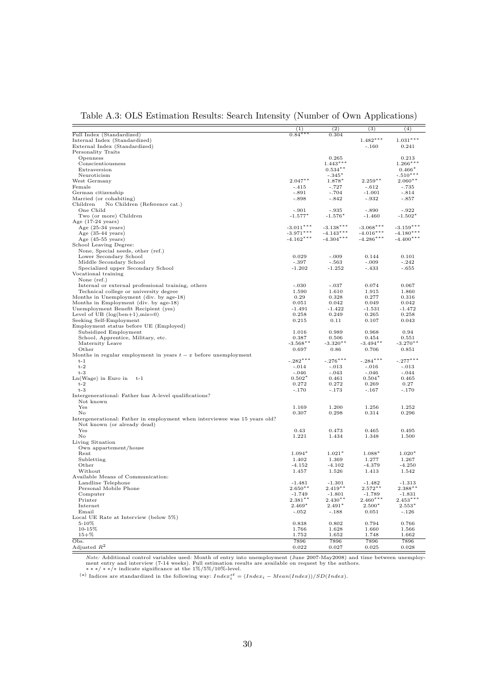|                                                                            | (1)         | (2)         | (3)         | (4)         |
|----------------------------------------------------------------------------|-------------|-------------|-------------|-------------|
| Full Index (Standardized)                                                  | $0.84*$     | 0.304       |             |             |
| Internal Index (Standardized)                                              |             |             | $1.482***$  | $1.031***$  |
| External Index (Standardized)                                              |             |             | $-.160$     | 0.241       |
| Personality Traits                                                         |             |             |             |             |
| Openness                                                                   |             | 0.265       |             | 0.213       |
| Conscientiousness                                                          |             | $1.443**$   |             | $1.266*$    |
|                                                                            |             |             |             |             |
| Extraversion                                                               |             | $0.534***$  |             | $0.466*$    |
| Neuroticism                                                                |             | $-.345*$    |             | $-.510***$  |
| West Germany                                                               | $2.047**$   | 1.878*      | $2.259**$   | $2.060**$   |
| Female                                                                     | $-.415$     | $-.727$     | $-.612$     | $-.735$     |
| German citizenship                                                         | $-.891$     | $-.704$     | $-1.001$    | $-.814$     |
| Married (or cohabiting)                                                    | $-.898$     | $-.842$     | $-.932$     | $-.857$     |
| No Children (Reference cat.)<br>Children                                   |             |             |             |             |
|                                                                            |             |             |             |             |
| One Child                                                                  | $-.901$     | $-.935$     | $-.890$     | $-.922$     |
| Two (or more) Children                                                     | $-1.577*$   | $-1.576*$   | $-1.460$    | $-1.502*$   |
| Age $(17-24 \text{ years})$                                                |             |             |             |             |
| Age $(25-34 \text{ years})$                                                | $-3.011***$ | $-3.138***$ | $-3.068***$ | $-3.159***$ |
| Age $(35-44 \text{ years})$                                                | $-3.971***$ | $-4.143***$ | $-4.016***$ | $-4.180***$ |
| Age $(45-55 \text{ years})$                                                | $-4.162***$ | $-4.304***$ | $-4.286***$ | $-4.400***$ |
| School Leaving Degree:                                                     |             |             |             |             |
|                                                                            |             |             |             |             |
| None, Special needs, other (ref.)                                          |             |             |             |             |
| Lower Secondary School                                                     | 0.029       | $-.009$     | 0.144       | 0.101       |
| Middle Secondary School                                                    | $-.397$     | $-.563$     | $-.009$     | $-.242$     |
| Specialized upper Secondary School                                         | $-1.202$    | $-1.252$    | $-.433$     | $-.655$     |
| Vocational training                                                        |             |             |             |             |
| None (ref.)                                                                |             |             |             |             |
|                                                                            | $-.030$     | $-.037$     | 0.074       | 0.067       |
| Internal or external professional training, others                         |             |             |             |             |
| Technical college or university degree                                     | 1.590       | 1.610       | 1.915       | 1.860       |
| Months in Unemployment (div. by age-18)                                    | 0.29        | 0.328       | 0.277       | 0.316       |
| Months in Employment (div. by age-18)                                      | 0.051       | 0.042       | 0.049       | 0.042       |
| Unemployment Benefit Recipient (yes)                                       | $-1.491$    | $-1.422$    | $-1.531$    | $-1.472$    |
| Level of UB $(\log(ben+1), mis=0)$                                         | 0.258       | 0.249       | 0.265       | 0.258       |
| Seeking Self-Employment                                                    | 0.215       | 0.11        | 0.107       | 0.043       |
|                                                                            |             |             |             |             |
| Employment status before UE (Employed)                                     |             |             |             |             |
| Subsidized Employment                                                      | 1.016       | 0.989       | 0.968       | 0.94        |
| School, Apprentice, Military, etc.                                         | 0.387       | 0.506       | 0.454       | 0.551       |
| Maternity Leave                                                            | $-3.568**$  | $-3.320**$  | $-3.494***$ | $-3.270**$  |
| Other                                                                      | 0.697       | 0.86        | 0.706       | 0.851       |
| Months in regular employment in years $t - x$ before unemployment          |             |             |             |             |
| $t - 1$                                                                    | $-.282***$  | $-.276***$  | $-.284***$  | $-.277***$  |
| $t-2$                                                                      | $-.014$     | $-.013$     | $-.016$     | $-.013$     |
|                                                                            |             |             |             |             |
| $t-3$                                                                      | $-.046$     | $-.043$     | $-.046$     | $-.044$     |
| $Ln(Wage)$ in Euro in<br>$t - 1$                                           | $0.502*$    | 0.461       | $0.504*$    | 0.465       |
| $t-2$                                                                      | 0.272       | 0.272       | 0.269       | 0.27        |
| $t-3$                                                                      | $-.170$     | $-.173$     | $-.167$     | $-.170$     |
| Intergenerational: Father has A-level qualifications?                      |             |             |             |             |
| Not known                                                                  |             |             |             |             |
| Yes                                                                        | 1.169       | 1.200       | 1.256       | 1.252       |
|                                                                            |             |             |             |             |
| No                                                                         | 0.307       | 0.298       | 0.314       | 0.296       |
| Intergenerational: Father in employment when interviewee was 15 years old? |             |             |             |             |
| Not known (or already dead)                                                |             |             |             |             |
| Yes                                                                        | 0.43        | 0.473       | 0.465       | 0.495       |
| No                                                                         | 1.221       | 1.434       | 1.348       | 1.500       |
| Living Situation                                                           |             |             |             |             |
| Own appartement/house                                                      |             |             |             |             |
|                                                                            | 1.094*      | $1.021*$    |             | $1.020*$    |
| Rent                                                                       |             |             | 1.088*      |             |
| Subletting                                                                 | 1.402       | 1.369       | 1.277       | 1.267       |
| Other                                                                      | $-4.152$    | $-4.102$    | $-4.379$    | $-4.250$    |
| Without                                                                    | 1.457       | 1.526       | 1.413       | 1.542       |
| Available Means of Communication:                                          |             |             |             |             |
| Landline Telephone                                                         | $-1.481$    | $-1.301$    | $-1.482$    | $-1.313$    |
| Personal Mobile Phone                                                      | $2.650**$   | $2.419**$   | $2.572**$   | $2.388**$   |
|                                                                            |             |             |             |             |
| Computer                                                                   | $-1.749$    | $-1.801$    | $-1.789$    | $-1.831$    |
| Printer                                                                    | $2.381**$   | $2.430**$   | $2.460***$  | $2.453***$  |
| Internet                                                                   | $2.469*$    | $2.491*$    | $2.500*$    | $2.553*$    |
| Email                                                                      | $-.052$     | $-.188$     | 0.051       | $-.126$     |
| Local UE Rate at Interview (below 5%)                                      |             |             |             |             |
| $5 - 10\%$                                                                 | 0.838       | 0.802       | 0.794       | 0.766       |
| 10-15%                                                                     | 1.766       | 1.628       | 1.660       | 1.566       |
|                                                                            |             |             |             |             |
| $15 + \%$                                                                  | 1.752       | 1.652       | 1.748       | 1.662       |
| Obs.                                                                       | 7896        | 7896        | 7896        | 7896        |
| Adjusted $\mathbb{R}^2$                                                    | 0.022       | 0.027       | 0.025       | 0.028       |
|                                                                            |             |             |             |             |

*Note:* Additional control variables used: Month of entry into unemployment (June 2007-May2008) and time between unemploy-<br>ment entry and interview (7-14 weeks). Full estimation results are available on request by the aut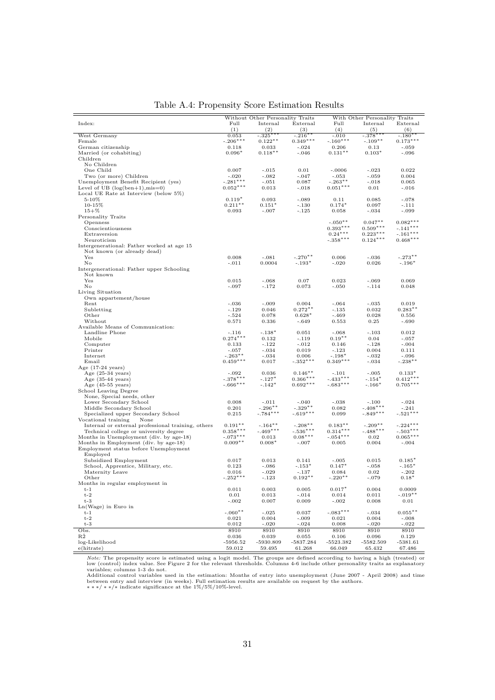|                                                                           |                       | Without Other Personality Traits |                          |                       | With Other Personality Traits |                        |
|---------------------------------------------------------------------------|-----------------------|----------------------------------|--------------------------|-----------------------|-------------------------------|------------------------|
| Index:                                                                    | Full                  | Internal                         | External                 | Full                  | Internal                      | External               |
|                                                                           | (1)                   | (2)                              | (3)                      | (4)                   | (5)                           | (6)                    |
| West Germany<br>Female                                                    | 0.053<br>$-.206***$   | $-.325***$<br>$0.122**$          | $-.216***$<br>$0.349***$ | $-.010$<br>$-.160***$ | $-.378***$<br>$-.109**$       | $-.180*$<br>$0.173***$ |
| German citizenship                                                        | 0.118                 | 0.033                            | $-.024$                  | 0.206                 | 0.13                          | $-.059$                |
| Married (or cohabiting)                                                   | $0.096*$              | $0.118**$                        | $-.046$                  | $0.131***$            | $0.103*$                      | $-.096$                |
| Children                                                                  |                       |                                  |                          |                       |                               |                        |
| No Children                                                               |                       |                                  |                          |                       |                               |                        |
| One Child                                                                 | 0.007                 | $-.015$                          | 0.01                     | $-.0006$              | $-.023$                       | 0.022                  |
| Two (or more) Children                                                    | $-.020$               | $-.082$                          | $-.047$                  | $-.053$               | $-.059$                       | 0.004                  |
| Unemployment Benefit Recipient (yes)                                      | $-.281***$            | $-.051$                          | 0.087                    | $-.263**$             | $-.018$                       | 0.065                  |
| Level of UB $(log(ben+1), mis=0)$                                         | $0.052***$            | 0.013                            | $-.018$                  | $0.051***$            | 0.01                          | $-.016$                |
| Local UE Rate at Interview (below 5%)                                     |                       |                                  |                          |                       |                               |                        |
| 5-10%                                                                     | $0.119*$              | 0.093                            | $-.089$                  | 0.11                  | 0.085                         | $-.078$                |
| 10-15%                                                                    | $0.211**$             | $0.151*$                         | $-.130$                  | $0.174*$              | 0.097                         | $-.111$                |
| $15 + \%$                                                                 | 0.093                 | $-.007$                          | $-.125$                  | 0.058                 | $-.034$                       | $-.099$                |
| Personality Traits                                                        |                       |                                  |                          |                       |                               |                        |
| Openness                                                                  |                       |                                  |                          | $-.050**$             | $0.047**$                     | $0.082***$             |
| Conscientiousness                                                         |                       |                                  |                          | $0.393***$            | $0.509***$                    | $-.141***$             |
| Extraversion                                                              |                       |                                  |                          | $0.24^{***}$          | $0.223***$                    | $-.161***$             |
| Neuroticism                                                               |                       |                                  |                          | $-.358***$            | $0.124***$                    | $0.468***$             |
| Intergenerational: Father worked at age 15<br>Not known (or already dead) |                       |                                  |                          |                       |                               |                        |
|                                                                           | 0.008                 | $-.081$                          | $-.270**$                |                       |                               | $-.273***$             |
| Yes<br>No                                                                 | $-.011$               | 0.0004                           | $-.193*$                 | 0.006<br>$-.020$      | $-.036$<br>0.026              | $-.196*$               |
| Intergenerational: Father upper Schooling                                 |                       |                                  |                          |                       |                               |                        |
| Not known                                                                 |                       |                                  |                          |                       |                               |                        |
| Yes                                                                       | 0.015                 | $-.068$                          | 0.07                     | 0.023                 | $-.069$                       | 0.069                  |
| No                                                                        | $-.097$               | $-.172$                          | 0.073                    | $-.050$               | $-.114$                       | 0.048                  |
| Living Situation                                                          |                       |                                  |                          |                       |                               |                        |
| Own appartement/house                                                     |                       |                                  |                          |                       |                               |                        |
| Rent                                                                      | $-.036$               | $-.009$                          | 0.004                    | $-.064$               | $-.035$                       | 0.019                  |
| Subletting                                                                | $-.129$               | 0.046                            | $0.272**$                | $-.135$               | 0.032                         | $0.283**$              |
| Other                                                                     | $-.524$               | 0.078                            | $0.628*$                 | $-.469$               | 0.028                         | 0.556                  |
| Without                                                                   | 0.571                 | 0.336                            | $-.649$                  | 0.553                 | 0.25                          | $-.690$                |
| Available Means of Communication:                                         |                       |                                  |                          |                       |                               |                        |
| Landline Phone                                                            | $-.116$               | $-.138*$                         | 0.051                    | $-.068$               | $-.103$                       | 0.012                  |
| Mobile                                                                    | $0.274***$            | 0.132                            | $-.119$                  | $0.19***$             | 0.04                          | $-.057$                |
| Computer                                                                  | 0.133                 | $-.122$                          | $-.012$                  | 0.146                 | $-.128$                       | $-.004$                |
| Printer                                                                   | $-.057$               | $-.034$                          | 0.019                    | $-.123$               | 0.004                         | 0.111                  |
| Internet                                                                  | $-.263**$             | $-.034$                          | 0.006                    | $-.198*$              | $-.032$                       | $-.096$                |
| Email                                                                     | $0.459***$            | 0.017                            | $-.352***$               | $0.349***$            | $-.034$                       | $-.238**$              |
| Age $(17-24 \text{ years})$                                               |                       |                                  |                          |                       |                               |                        |
| Age $(25-34 \text{ years})$                                               | $-.092$<br>$-.378***$ | 0.036                            | $0.146**$<br>$0.366***$  | $-.101$<br>$-.433***$ | $-.005$                       | $0.133*$<br>$0.412***$ |
| Age $(35-44 \text{ years})$                                               | $-.666***$            | $-.127*$<br>$-.142*$             | $0.692***$               | $-.683***$            | $-.154*$<br>$-.166*$          | $0.705***$             |
| Age $(45-55 \text{ years})$<br>School Leaving Degree                      |                       |                                  |                          |                       |                               |                        |
| None, Special needs, other                                                |                       |                                  |                          |                       |                               |                        |
| Lower Secondary School                                                    | 0.008                 | $-.011$                          | $-.040$                  | $-.038$               | $-.100$                       | $-.024$                |
| Middle Secondary School                                                   | 0.201                 | $-.296**$                        | $-.329**$                | 0.082                 | $-.408***$                    | $-.241$                |
| Specialized upper Secondary School                                        | 0.215                 | $-.784***$                       | $-.619***$               | 0.099                 | $-.849***$                    | $-.521***$             |
| Vocational training<br>None                                               |                       |                                  |                          |                       |                               |                        |
| Internal or external professional training, others                        | $0.191**$             | $-.164***$                       | $-.208**$                | $0.183***$            | $-.209**$                     | $-.224***$             |
| Technical college or university degree                                    | $0.358***$            | $-469***$                        | $-.536***$               | $0.314***$            | $-.488***$                    | $-.503***$             |
| Months in Unemployment (div. by age-18)                                   | $-.073***$            | 0.013                            | $0.08***$                | $-.054***$            | 0.02                          | $0.065***$             |
| Months in Employment (div. by age-18)                                     | $0.009**$             | $0.008*$                         | $-.007$                  | 0.005                 | 0.004                         | $-.004$                |
| Employment status before Unemployment                                     |                       |                                  |                          |                       |                               |                        |
| Employed                                                                  |                       |                                  |                          |                       |                               |                        |
| Subsidized Employment                                                     | 0.017                 | 0.013                            | 0.141                    | $-.005$               | 0.015                         | $0.185*$               |
| School, Apprentice, Military, etc.                                        | 0.123                 | $-.086$                          | $-.153*$                 | $0.147*$              | $-.058$                       | $-.165*$               |
| Maternity Leave                                                           | 0.016                 | $-.029$                          | $-.137$                  | 0.084                 | 0.02                          | $-.202$                |
| Other                                                                     | $-.252***$            | $-.123$                          | $0.192**$                | $-.220**$             | $-.079$                       | $0.18*$                |
| Months in regular employment in                                           |                       |                                  |                          |                       |                               |                        |
| $t-1$                                                                     | 0.011                 | 0.003                            | 0.005                    | $0.017*$              | 0.004                         | 0.0009                 |
| $t-2$                                                                     | 0.01                  | 0.013                            | $-.014$                  | 0.014                 | 0.011                         | $-.019**$              |
| $_{\rm t-3}$                                                              | $-.002$               | 0.007                            | 0.009                    | $-.002$               | 0.008                         | 0.01                   |
| $Ln(Wage)$ in Euro in                                                     |                       |                                  |                          |                       |                               |                        |
| $t-1$                                                                     | $-.060**$             | $-.025$                          | 0.037                    | $-.083***$            | $-.034$                       | $0.055***$             |
| $t-2$<br>$t-3$                                                            | 0.021<br>0.012        | 0.004<br>$-.020$                 | $-.009$<br>$-.024$       | 0.021<br>0.008        | 0.004<br>$-.020$              | $-.008$<br>$-.022$     |
| Obs.                                                                      | 8910                  | 8910                             | 8910                     | 8910                  | 8910                          | 8910                   |
|                                                                           |                       |                                  |                          |                       |                               |                        |
| R2<br>log-Likelihood                                                      | 0.036<br>$-5956.52$   | 0.039<br>$-5930.809$             | 0.055<br>$-5837.284$     | 0.106<br>$-5523.382$  | 0.096<br>$-5582.509$          | 0.129                  |
|                                                                           |                       | 59.495                           | 61.268                   | 66.049                | 65.432                        | $-5381.61$<br>67.486   |

Table A.4: Propensity Score Estimation Results

*Note:* The propensity score is estimated using a logit model. The groups are defined according to having a high (treated) or (control) index value. See Figure 2 for the relevant thresholds. Columns 4-6 include other pers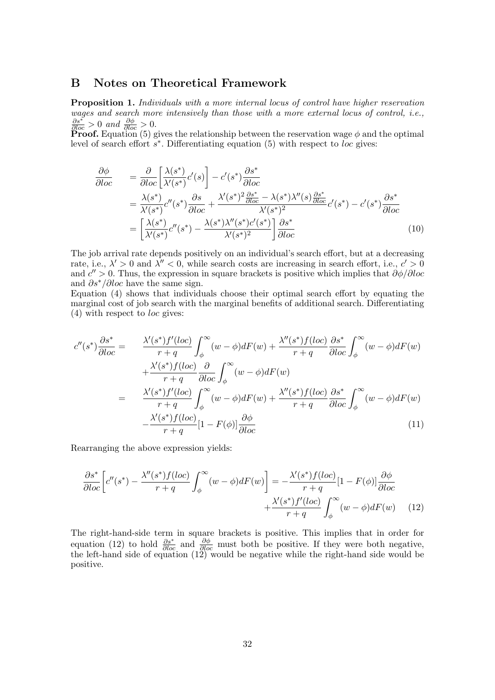### B Notes on Theoretical Framework

Proposition 1. Individuals with a more internal locus of control have higher reservation wages and search more intensively than those with a more external locus of control, i.e.,  $\frac{\partial s^*}{\partial loc} > 0$  and  $\frac{\partial \phi}{\partial loc} > 0$ .

**Proof.** Equation (5) gives the relationship between the reservation wage  $\phi$  and the optimal level of search effort  $\overline{s}^*$ . Differentiating equation (5) with respect to loc gives:

$$
\frac{\partial \phi}{\partial loc} = \frac{\partial}{\partial loc} \left[ \frac{\lambda(s^*)}{\lambda'(s^*)} c'(s) \right] - c'(s^*) \frac{\partial s^*}{\partial loc}
$$
\n
$$
= \frac{\lambda(s^*)}{\lambda'(s^*)} c''(s^*) \frac{\partial s}{\partial loc} + \frac{\lambda'(s^*)^2 \frac{\partial s^*}{\partial loc} - \lambda(s^*) \lambda''(s) \frac{\partial s^*}{\partial loc}}{\lambda'(s^*)^2} c'(s^*) - c'(s^*) \frac{\partial s^*}{\partial loc}
$$
\n
$$
= \left[ \frac{\lambda(s^*)}{\lambda'(s^*)} c''(s^*) - \frac{\lambda(s^*) \lambda''(s^*) c'(s^*)}{\lambda'(s^*)^2} \right] \frac{\partial s^*}{\partial loc}
$$
\n(10)

The job arrival rate depends positively on an individual's search effort, but at a decreasing rate, i.e.,  $\lambda' > 0$  and  $\lambda'' < 0$ , while search costs are increasing in search effort, i.e.,  $c' > 0$ and  $c'' > 0$ . Thus, the expression in square brackets is positive which implies that  $\partial \phi / \partial \log \phi$ and  $\partial s^*/\partial loc$  have the same sign.

Equation (4) shows that individuals choose their optimal search effort by equating the marginal cost of job search with the marginal benefits of additional search. Differentiating (4) with respect to loc gives:

$$
c''(s^*)\frac{\partial s^*}{\partial loc} = \frac{\lambda'(s^*)f'(loc)}{r+q} \int_{\phi}^{\infty} (w-\phi)dF(w) + \frac{\lambda''(s^*)f(loc)}{r+q} \frac{\partial s^*}{\partial loc} \int_{\phi}^{\infty} (w-\phi)dF(w) + \frac{\lambda'(s^*)f(loc)}{r+q} \frac{\partial}{\partial loc} \int_{\phi}^{\infty} (w-\phi)dF(w) = \frac{\lambda'(s^*)f'(loc)}{r+q} \int_{\phi}^{\infty} (w-\phi)dF(w) + \frac{\lambda''(s^*)f(loc)}{r+q} \frac{\partial s^*}{\partial loc} \int_{\phi}^{\infty} (w-\phi)dF(w) - \frac{\lambda'(s^*)f(loc)}{r+q} [1 - F(\phi)]\frac{\partial \phi}{\partial loc}
$$
(11)

Rearranging the above expression yields:

$$
\frac{\partial s^*}{\partial loc} \left[ c''(s^*) - \frac{\lambda''(s^*) f(loc)}{r+q} \int_{\phi}^{\infty} (w - \phi) dF(w) \right] = -\frac{\lambda'(s^*) f(loc)}{r+q} [1 - F(\phi)] \frac{\partial \phi}{\partial loc} \n+ \frac{\lambda'(s^*) f'(loc)}{r+q} \int_{\phi}^{\infty} (w - \phi) dF(w) \tag{12}
$$

The right-hand-side term in square brackets is positive. This implies that in order for equation (12) to hold  $\frac{\partial s^*}{\partial \theta^c}$  and  $\frac{\partial \phi}{\partial \theta^c}$  must both be positive. If they were both negative, the left-hand side of equation  $(12)$  would be negative while the right-hand side would be positive.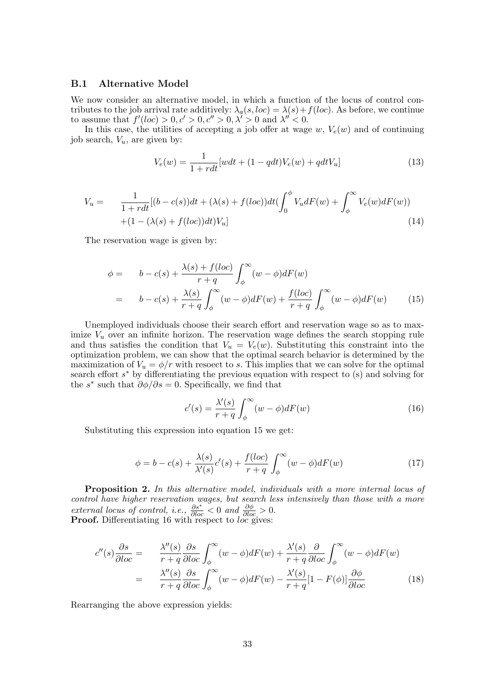#### B.1 Alternative Model

We now consider an alternative model, in which a function of the locus of control contributes to the job arrival rate additively:  $\lambda_a(s, loc) = \lambda(s) + f(loc)$ . As before, we continue to assume that  $f'(loc) > 0, c' > 0, c'' > 0, \lambda' > 0$  and  $\lambda'' < 0$ .

In this case, the utilities of accepting a job offer at wage  $w, V_e(w)$  and of continuing job search,  $V_u$ , are given by:

$$
V_e(w) = \frac{1}{1 + rdt} [wdt + (1 - qdt)V_e(w) + qdtV_u]
$$
\n(13)

$$
V_u = \frac{1}{1 + rdt} [(b - c(s))dt + (\lambda(s) + f(loc))dt(\int_0^{\phi} V_u dF(w) + \int_{\phi}^{\infty} V_e(w) dF(w))
$$
  
+(1 - (\lambda(s) + f(loc))dt)V<sub>u</sub>] (14)

The reservation wage is given by:

$$
\phi = b - c(s) + \frac{\lambda(s) + f(loc)}{r + q} \int_{\phi}^{\infty} (w - \phi) dF(w)
$$
  
= 
$$
b - c(s) + \frac{\lambda(s)}{r + q} \int_{\phi}^{\infty} (w - \phi) dF(w) + \frac{f(loc)}{r + q} \int_{\phi}^{\infty} (w - \phi) dF(w) \qquad (15)
$$

Unemployed individuals choose their search effort and reservation wage so as to maximize  $V_u$  over an infinite horizon. The reservation wage defines the search stopping rule and thus satisfies the condition that  $V_u = V_e(w)$ . Substituting this constraint into the optimization problem, we can show that the optimal search behavior is determined by the maximization of  $V_u = \phi/r$  with resoect to s. This implies that we can solve for the optimal search effort  $s^*$  by differentiating the previous equation with respect to (s) and solving for the s<sup>\*</sup> such that  $\partial \phi / \partial s = 0$ . Specifically, we find that

$$
c'(s) = \frac{\lambda'(s)}{r+q} \int_{\phi}^{\infty} (w-\phi)dF(w)
$$
\n(16)

Substituting this expression into equation 15 we get:

$$
\phi = b - c(s) + \frac{\lambda(s)}{\lambda'(s)}c'(s) + \frac{f(loc)}{r+q} \int_{\phi}^{\infty} (w - \phi)dF(w) \tag{17}
$$

Proposition 2. In this alternative model, individuals with a more internal locus of control have higher reservation wages, but search less intensively than those with a more external locus of control, i.e.,  $\frac{\partial s^*}{\partial \text{loc}} < 0$  and  $\frac{\partial \phi}{\partial \text{loc}} > 0$ . **Proof.** Differentiating 16 with respect to loc gives:

$$
c''(s)\frac{\partial s}{\partial loc} = \frac{\lambda''(s)}{r+q}\frac{\partial s}{\partial loc}\int_{\phi}^{\infty} (w-\phi)dF(w) + \frac{\lambda'(s)}{r+q}\frac{\partial}{\partial loc}\int_{\phi}^{\infty} (w-\phi)dF(w)
$$
  

$$
= \frac{\lambda''(s)}{r+q}\frac{\partial s}{\partial loc}\int_{\phi}^{\infty} (w-\phi)dF(w) - \frac{\lambda'(s)}{r+q}[1-F(\phi)]\frac{\partial \phi}{\partial loc}
$$
(18)

Rearranging the above expression yields: